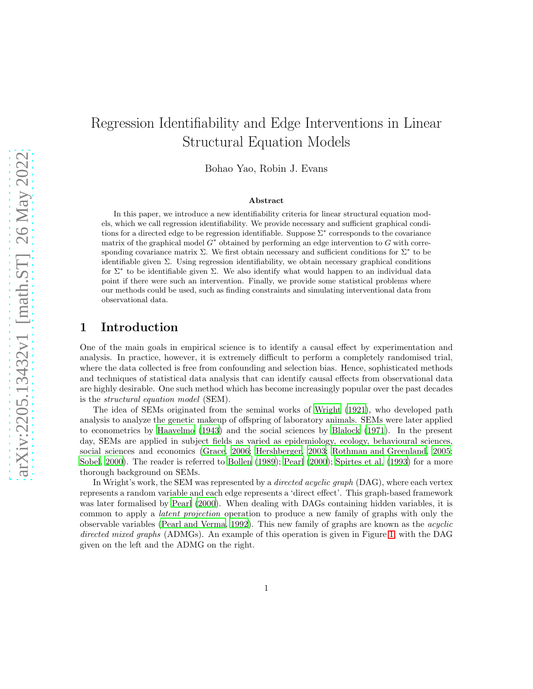# Regression Identifiability and Edge Interventions in Linear Structural Equation Models

Bohao Yao, Robin J. Evans

#### Abstract

In this paper, we introduce a new identifiability criteria for linear structural equation models, which we call regression identifiability. We provide necessary and sufficient graphical conditions for a directed edge to be regression identifiable. Suppose Σ<sup>∗</sup> corresponds to the covariance matrix of the graphical model  $G^*$  obtained by performing an edge intervention to G with corresponding covariance matrix  $\Sigma$ . We first obtain necessary and sufficient conditions for  $\Sigma^*$  to be identifiable given  $\Sigma$ . Using regression identifiability, we obtain necessary graphical conditions for Σ<sup>∗</sup> to be identifiable given Σ. We also identify what would happen to an individual data point if there were such an intervention. Finally, we provide some statistical problems where our methods could be used, such as finding constraints and simulating interventional data from observational data.

# 1 Introduction

One of the main goals in empirical science is to identify a causal effect by experimentation and analysis. In practice, however, it is extremely difficult to perform a completely randomised trial, where the data collected is free from confounding and selection bias. Hence, sophisticated methods and techniques of statistical data analysis that can identify causal effects from observational data are highly desirable. One such method which has become increasingly popular over the past decades is the structural equation model (SEM).

The idea of SEMs originated from the seminal works of [Wright \(1921\)](#page-21-0), who developed path analysis to analyze the genetic makeup of offspring of laboratory animals. SEMs were later applied to econometrics by [Haavelmo \(1943\)](#page-20-0) and the social sciences by [Blalock \(1971\)](#page-19-0). In the present day, SEMs are applied in subject fields as varied as epidemiology, ecology, behavioural sciences, social sciences and economics [\(Grace, 2006;](#page-20-1) [Hershberger, 2003](#page-20-2); [Rothman and Greenland, 2005;](#page-21-1) [Sobel](#page-21-2), [2000](#page-21-2)). The reader is referred to [Bollen \(1989\)](#page-19-1); [Pearl \(2000\)](#page-20-3); [Spirtes et al. \(1993](#page-21-3)) for a more thorough background on SEMs.

In Wright's work, the SEM was represented by a *directed acyclic graph* (DAG), where each vertex represents a random variable and each edge represents a 'direct effect'. This graph-based framework was later formalised by [Pearl \(2000\)](#page-20-3). When dealing with DAGs containing hidden variables, it is common to apply a latent projection operation to produce a new family of graphs with only the observable variables [\(Pearl and Verma](#page-20-4), [1992\)](#page-20-4). This new family of graphs are known as the acyclic directed mixed graphs (ADMGs). An example of this operation is given in Figure [1,](#page-1-0) with the DAG given on the left and the ADMG on the right.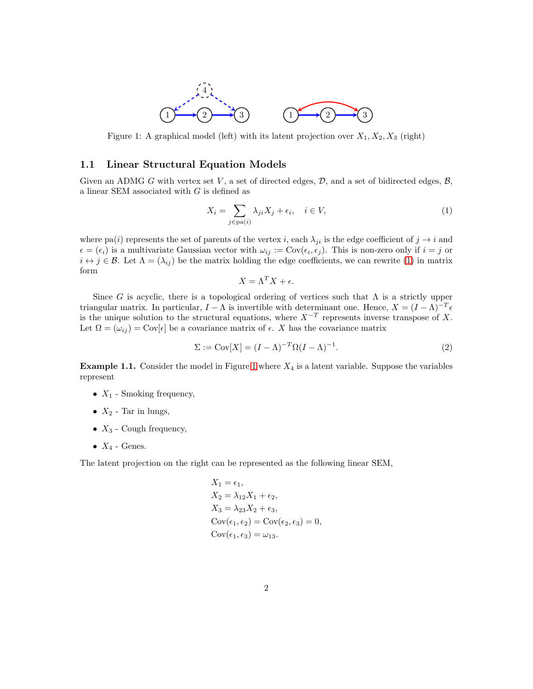

<span id="page-1-0"></span>Figure 1: A graphical model (left) with its latent projection over  $X_1, X_2, X_3$  (right)

#### 1.1 Linear Structural Equation Models

Given an ADMG G with vertex set V, a set of directed edges,  $D$ , and a set of bidirected edges,  $B$ , a linear SEM associated with  $G$  is defined as

$$
X_i = \sum_{j \in \text{pa}(i)} \lambda_{ji} X_j + \epsilon_i, \quad i \in V,
$$
\n<sup>(1)</sup>

where pa(i) represents the set of parents of the vertex i, each  $\lambda_{ji}$  is the edge coefficient of  $j \to i$  and  $\epsilon = (\epsilon_i)$  is a multivariate Gaussian vector with  $\omega_{ij} := \text{Cov}(\epsilon_i, \epsilon_j)$ . This is non-zero only if  $i = j$  or  $i \leftrightarrow j \in \mathcal{B}$ . Let  $\Lambda = (\lambda_{ij})$  be the matrix holding the edge coefficients, we can rewrite [\(1\)](#page-1-1) in matrix form

<span id="page-1-2"></span><span id="page-1-1"></span>
$$
X = \Lambda^T X + \epsilon.
$$

Since G is acyclic, there is a topological ordering of vertices such that  $\Lambda$  is a strictly upper triangular matrix. In particular,  $I - \Lambda$  is invertible with determinant one. Hence,  $X = (I - \Lambda)^{-T} \epsilon$ is the unique solution to the structural equations, where  $X^{-T}$  represents inverse transpose of X. Let  $\Omega = (\omega_{ij}) = \text{Cov}[\epsilon]$  be a covariance matrix of  $\epsilon$ . X has the covariance matrix

$$
\Sigma := \text{Cov}[X] = (I - \Lambda)^{-T} \Omega (I - \Lambda)^{-1}.
$$
\n(2)

**Example [1](#page-1-0).1.** Consider the model in Figure 1 where  $X_4$  is a latent variable. Suppose the variables represent

- $X_1$  Smoking frequency,
- $X_2$  Tar in lungs,
- $X_3$  Cough frequency,
- $X_4$  Genes.

The latent projection on the right can be represented as the following linear SEM,

$$
X_1 = \epsilon_1,
$$
  
\n
$$
X_2 = \lambda_{12} X_1 + \epsilon_2,
$$
  
\n
$$
X_3 = \lambda_{23} X_2 + \epsilon_3,
$$
  
\n
$$
Cov(\epsilon_1, \epsilon_2) = Cov(\epsilon_2, \epsilon_3) = 0,
$$
  
\n
$$
Cov(\epsilon_1, \epsilon_3) = \omega_{13}.
$$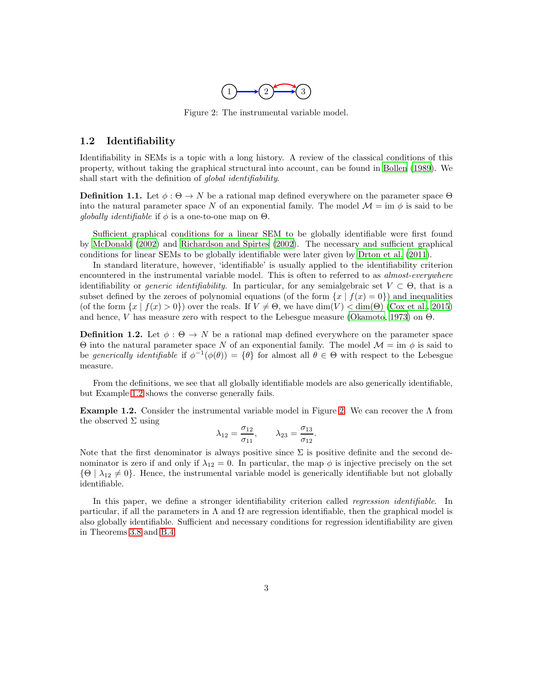

Figure 2: The instrumental variable model.

### <span id="page-2-1"></span>1.2 Identifiability

Identifiability in SEMs is a topic with a long history. A review of the classical conditions of this property, without taking the graphical structural into account, can be found in [Bollen \(1989](#page-19-1)). We shall start with the definition of global identifiability.

**Definition 1.1.** Let  $\phi : \Theta \to N$  be a rational map defined everywhere on the parameter space  $\Theta$ into the natural parameter space N of an exponential family. The model  $\mathcal{M} = \text{im } \phi$  is said to be globally identifiable if  $\phi$  is a one-to-one map on  $\Theta$ .

Sufficient graphical conditions for a linear SEM to be globally identifiable were first found by [McDonald \(2002\)](#page-20-5) and [Richardson and Spirtes \(2002](#page-20-6)). The necessary and sufficient graphical conditions for linear SEMs to be globally identifiable were later given by [Drton et al. \(2011\)](#page-19-2).

In standard literature, however, 'identifiable' is usually applied to the identifiability criterion encountered in the instrumental variable model. This is often to referred to as *almost-everywhere* identifiability or *generic identifiability*. In particular, for any semialgebraic set  $V \subset \Theta$ , that is a subset defined by the zeroes of polynomial equations (of the form  $\{x \mid f(x) = 0\}$ ) and inequalities (of the form  $\{x \mid f(x) > 0\}$ ) over the reals. If  $V \neq \Theta$ , we have dim(V)  $\langle$  dim( $\Theta$ ) [\(Cox et al., 2015\)](#page-19-3) and hence, V has measure zero with respect to the Lebesgue measure [\(Okamoto](#page-20-7), [1973](#page-20-7)) on  $\Theta$ .

**Definition 1.2.** Let  $\phi : \Theta \to N$  be a rational map defined everywhere on the parameter space Θ into the natural parameter space N of an exponential family. The model M = im φ is said to be generically identifiable if  $\phi^{-1}(\phi(\theta)) = {\theta}$  for almost all  $\theta \in \Theta$  with respect to the Lebesgue measure.

From the definitions, we see that all globally identifiable models are also generically identifiable, but Example [1.2](#page-2-0) shows the converse generally fails.

<span id="page-2-0"></span>**Example 1.2.** Consider the instrumental variable model in Figure [2.](#page-2-1) We can recover the  $\Lambda$  from the observed  $\Sigma$  using

$$
\lambda_{12} = \frac{\sigma_{12}}{\sigma_{11}}, \qquad \lambda_{23} = \frac{\sigma_{13}}{\sigma_{12}}
$$

.

Note that the first denominator is always positive since  $\Sigma$  is positive definite and the second denominator is zero if and only if  $\lambda_{12} = 0$ . In particular, the map  $\phi$  is injective precisely on the set  $\{\Theta \mid \lambda_{12} \neq 0\}$ . Hence, the instrumental variable model is generically identifiable but not globally identifiable.

In this paper, we define a stronger identifiability criterion called *regression identifiable*. In particular, if all the parameters in  $\Lambda$  and  $\Omega$  are regression identifiable, then the graphical model is also globally identifiable. Sufficient and necessary conditions for regression identifiability are given in Theorems [3.8](#page-10-0) and [B.4.](#page-24-0)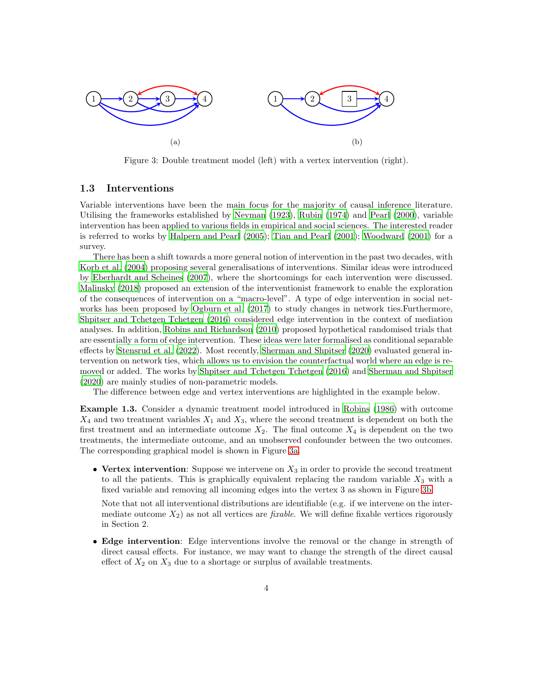<span id="page-3-0"></span>

Figure 3: Double treatment model (left) with a vertex intervention (right).

### 1.3 Interventions

Variable interventions have been the main focus for the majority of causal inference literature. Utilising the frameworks established by [Neyman \(1923\)](#page-20-8), [Rubin \(1974\)](#page-21-4) and [Pearl \(2000\)](#page-20-3), variable intervention has been applied to various fields in empirical and social sciences. The interested reader is referred to works by [Halpern and Pearl \(2005](#page-20-9)); [Tian and Pearl \(2001](#page-21-5)); [Woodward \(2001\)](#page-21-6) for a survey.

There has been a shift towards a more general notion of intervention in the past two decades, with [Korb et al. \(2004](#page-20-10)) proposing several generalisations of interventions. Similar ideas were introduced by [Eberhardt and Scheines \(2007](#page-19-4)), where the shortcomings for each intervention were discussed. [Malinsky \(2018\)](#page-20-11) proposed an extension of the interventionist framework to enable the exploration of the consequences of intervention on a "macro-level". A type of edge intervention in social networks has been proposed by [Ogburn et al. \(2017\)](#page-20-12) to study changes in network ties.Furthermore, [Shpitser and Tchetgen Tchetgen \(2016\)](#page-21-7) considered edge intervention in the context of mediation analyses. In addition, [Robins and Richardson \(2010](#page-21-8)) proposed hypothetical randomised trials that are essentially a form of edge intervention. These ideas were later formalised as conditional separable effects by [Stensrud et al. \(2022\)](#page-21-9). Most recently, [Sherman and Shpitser \(2020\)](#page-21-10) evaluated general intervention on network ties, which allows us to envision the counterfactual world where an edge is removed or added. The works by [Shpitser and Tchetgen Tchetgen \(2016\)](#page-21-7) and [Sherman and Shpitser](#page-21-10) [\(2020\)](#page-21-10) are mainly studies of non-parametric models.

The difference between edge and vertex interventions are highlighted in the example below.

Example 1.3. Consider a dynamic treatment model introduced in [Robins \(1986\)](#page-21-11) with outcome  $X_4$  and two treatment variables  $X_1$  and  $X_3$ , where the second treatment is dependent on both the first treatment and an intermediate outcome  $X_2$ . The final outcome  $X_4$  is dependent on the two treatments, the intermediate outcome, and an unobserved confounder between the two outcomes. The corresponding graphical model is shown in Figure [3a.](#page-3-0)

• Vertex intervention: Suppose we intervene on  $X_3$  in order to provide the second treatment to all the patients. This is graphically equivalent replacing the random variable  $X_3$  with a fixed variable and removing all incoming edges into the vertex 3 as shown in Figure [3b.](#page-3-0)

Note that not all interventional distributions are identifiable (e.g. if we intervene on the intermediate outcome  $X_2$ ) as not all vertices are *fixable*. We will define fixable vertices rigorously in Section 2.

• Edge intervention: Edge interventions involve the removal or the change in strength of direct causal effects. For instance, we may want to change the strength of the direct causal effect of  $X_2$  on  $X_3$  due to a shortage or surplus of available treatments.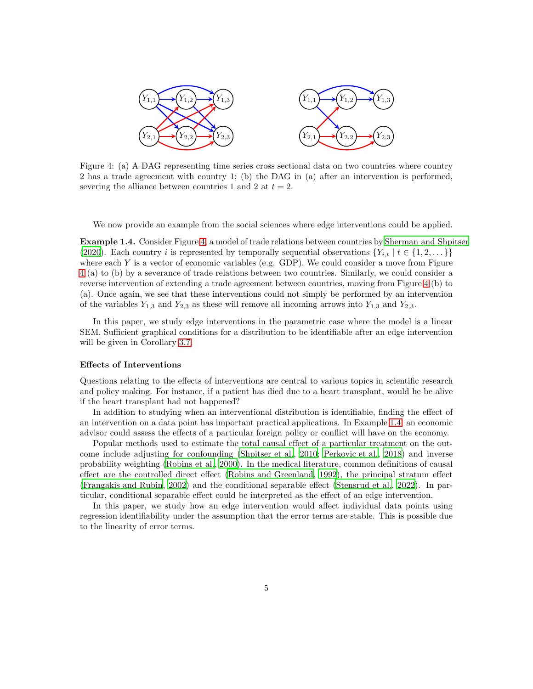<span id="page-4-0"></span>

Figure 4: (a) A DAG representing time series cross sectional data on two countries where country 2 has a trade agreement with country 1; (b) the DAG in (a) after an intervention is performed, severing the alliance between countries 1 and 2 at  $t = 2$ .

We now provide an example from the social sciences where edge interventions could be applied.

<span id="page-4-1"></span>Example 1.4. Consider Figure [4,](#page-4-0) a model of trade relations between countries by [Sherman and Shpitser](#page-21-10) [\(2020\)](#page-21-10). Each country i is represented by temporally sequential observations  ${Y_{i,t} | t \in \{1, 2, \ldots\}}$ where each  $Y$  is a vector of economic variables (e.g. GDP). We could consider a move from Figure [4](#page-4-0) (a) to (b) by a severance of trade relations between two countries. Similarly, we could consider a reverse intervention of extending a trade agreement between countries, moving from Figure [4](#page-4-0) (b) to (a). Once again, we see that these interventions could not simply be performed by an intervention of the variables  $Y_{1,3}$  and  $Y_{2,3}$  as these will remove all incoming arrows into  $Y_{1,3}$  and  $Y_{2,3}$ .

In this paper, we study edge interventions in the parametric case where the model is a linear SEM. Sufficient graphical conditions for a distribution to be identifiable after an edge intervention will be given in Corollary [3.7.](#page-11-0)

#### Effects of Interventions

Questions relating to the effects of interventions are central to various topics in scientific research and policy making. For instance, if a patient has died due to a heart transplant, would he be alive if the heart transplant had not happened?

In addition to studying when an interventional distribution is identifiable, finding the effect of an intervention on a data point has important practical applications. In Example [1.4,](#page-4-1) an economic advisor could assess the effects of a particular foreign policy or conflict will have on the economy.

Popular methods used to estimate the total causal effect of a particular treatment on the outcome include adjusting for confounding [\(Shpitser et al.](#page-21-12), [2010;](#page-21-12) [Perkovic et al.](#page-20-13), [2018\)](#page-20-13) and inverse probability weighting [\(Robins et al.](#page-21-13), [2000\)](#page-21-13). In the medical literature, common definitions of causal effect are the controlled direct effect [\(Robins and Greenland, 1992\)](#page-21-14), the principal stratum effect [\(Frangakis and Rubin](#page-19-5), [2002\)](#page-19-5) and the conditional separable effect [\(Stensrud et al., 2022\)](#page-21-9). In particular, conditional separable effect could be interpreted as the effect of an edge intervention.

In this paper, we study how an edge intervention would affect individual data points using regression identifiability under the assumption that the error terms are stable. This is possible due to the linearity of error terms.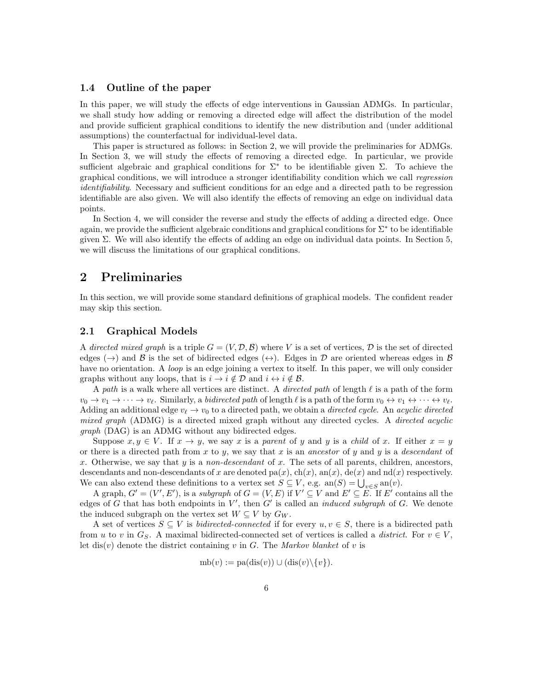### 1.4 Outline of the paper

In this paper, we will study the effects of edge interventions in Gaussian ADMGs. In particular, we shall study how adding or removing a directed edge will affect the distribution of the model and provide sufficient graphical conditions to identify the new distribution and (under additional assumptions) the counterfactual for individual-level data.

This paper is structured as follows: in Section 2, we will provide the preliminaries for ADMGs. In Section 3, we will study the effects of removing a directed edge. In particular, we provide sufficient algebraic and graphical conditions for  $\Sigma^*$  to be identifiable given  $\Sigma$ . To achieve the graphical conditions, we will introduce a stronger identifiability condition which we call regression identifiability. Necessary and sufficient conditions for an edge and a directed path to be regression identifiable are also given. We will also identify the effects of removing an edge on individual data points.

In Section 4, we will consider the reverse and study the effects of adding a directed edge. Once again, we provide the sufficient algebraic conditions and graphical conditions for Σ<sup>∗</sup> to be identifiable given  $\Sigma$ . We will also identify the effects of adding an edge on individual data points. In Section 5, we will discuss the limitations of our graphical conditions.

### 2 Preliminaries

In this section, we will provide some standard definitions of graphical models. The confident reader may skip this section.

### 2.1 Graphical Models

A directed mixed graph is a triple  $G = (V, \mathcal{D}, \mathcal{B})$  where V is a set of vertices,  $\mathcal{D}$  is the set of directed edges ( $\rightarrow$ ) and B is the set of bidirected edges ( $\leftrightarrow$ ). Edges in D are oriented whereas edges in B have no orientation. A *loop* is an edge joining a vertex to itself. In this paper, we will only consider graphs without any loops, that is  $i \to i \notin \mathcal{D}$  and  $i \leftrightarrow i \notin \mathcal{B}$ .

A path is a walk where all vertices are distinct. A *directed path* of length  $\ell$  is a path of the form  $v_0 \to v_1 \to \cdots \to v_\ell$ . Similarly, a bidirected path of length  $\ell$  is a path of the form  $v_0 \leftrightarrow v_1 \leftrightarrow \cdots \leftrightarrow v_\ell$ . Adding an additional edge  $v_{\ell} \to v_0$  to a directed path, we obtain a *directed cycle.* An *acyclic directed* mixed graph (ADMG) is a directed mixed graph without any directed cycles. A directed acyclic graph (DAG) is an ADMG without any bidirected edges.

Suppose  $x, y \in V$ . If  $x \to y$ , we say x is a parent of y and y is a child of x. If either  $x = y$ or there is a directed path from x to y, we say that x is an ancestor of y and y is a descendant of x. Otherwise, we say that y is a non-descendant of x. The sets of all parents, children, ancestors, descendants and non-descendants of x are denoted pa(x),  $\text{ch}(x)$ ,  $\text{ah}(x)$ ,  $\text{de}(x)$  and  $\text{hd}(x)$  respectively. We can also extend these definitions to a vertex set  $S \subseteq V$ , e.g.  $an(S) = \bigcup_{v \in S} an(v)$ .

A graph,  $G' = (V', E')$ , is a *subgraph* of  $G = (V, E)$  if  $V' \subseteq V$  and  $E' \subseteq E$ . If  $E'$  contains all the edges of G that has both endpoints in  $V'$ , then  $G'$  is called an *induced subgraph* of G. We denote the induced subgraph on the vertex set  $W \subseteq V$  by  $G_W$ .

A set of vertices  $S \subseteq V$  is *bidirected-connected* if for every  $u, v \in S$ , there is a bidirected path from u to v in  $G_S$ . A maximal bidirected-connected set of vertices is called a district. For  $v \in V$ , let dis(v) denote the district containing v in G. The Markov blanket of v is

$$
mb(v) := pa(diis(v)) \cup (dis(v) \setminus \{v\}).
$$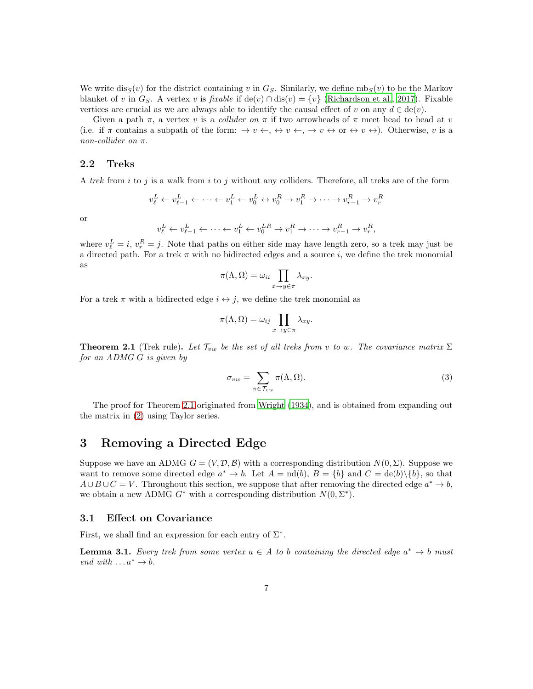We write  $dis_S(v)$  for the district containing v in  $G_S$ . Similarly, we define  $mS_S(v)$  to be the Markov blanket of v in  $G_S$ . A vertex v is fixable if de(v) ∩ dis(v) = {v} [\(Richardson et al.](#page-20-14), [2017\)](#page-20-14). Fixable vertices are crucial as we are always able to identify the causal effect of v on any  $d \in \text{de}(v)$ .

Given a path  $\pi$ , a vertex v is a *collider on*  $\pi$  if two arrowheads of  $\pi$  meet head to head at v (i.e. if  $\pi$  contains a subpath of the form:  $\rightarrow v \leftrightarrow v \leftrightarrow v \leftrightarrow v \leftrightarrow v \leftrightarrow v \leftrightarrow v \leftrightarrow v$ ). Otherwise, v is a non-collider on π.

### 2.2 Treks

A trek from i to j is a walk from i to j without any colliders. Therefore, all treks are of the form

$$
v^L_\ell \leftarrow v^L_{\ell-1} \leftarrow \dots \leftarrow v^L_1 \leftarrow v^L_0 \leftrightarrow v^R_0 \to v^R_1 \to \dots \to v^R_{r-1} \to v^R_r
$$

or

$$
v^L_\ell \leftarrow v^L_{\ell-1} \leftarrow \cdots \leftarrow v^L_1 \leftarrow v^{LR}_0 \to v^R_1 \to \cdots \to v^R_{r-1} \to v^R_r,
$$

where  $v_{\ell}^L = i$ ,  $v_r^R = j$ . Note that paths on either side may have length zero, so a trek may just be a directed path. For a trek  $\pi$  with no bidirected edges and a source i, we define the trek monomial as

$$
\pi(\Lambda,\Omega)=\omega_{ii}\prod_{x\to y\in\pi}\lambda_{xy}.
$$

For a trek  $\pi$  with a bidirected edge  $i \leftrightarrow j$ , we define the trek monomial as

$$
\pi(\Lambda,\Omega)=\omega_{ij}\prod_{x\to y\in\pi}\lambda_{xy}.
$$

<span id="page-6-0"></span>**Theorem 2.1** (Trek rule). Let  $\mathcal{T}_{vw}$  be the set of all treks from v to w. The covariance matrix  $\Sigma$ for an ADMG G is given by

$$
\sigma_{vw} = \sum_{\pi \in \mathcal{T}_{vw}} \pi(\Lambda, \Omega). \tag{3}
$$

The proof for Theorem [2.1](#page-6-0) originated from [Wright \(1934](#page-21-15)), and is obtained from expanding out the matrix in [\(2\)](#page-1-2) using Taylor series.

### <span id="page-6-3"></span>3 Removing a Directed Edge

Suppose we have an ADMG  $G = (V, \mathcal{D}, \mathcal{B})$  with a corresponding distribution  $N(0, \Sigma)$ . Suppose we want to remove some directed edge  $a^* \to b$ . Let  $A = \text{nd}(b)$ ,  $B = \{b\}$  and  $C = \text{de}(b) \setminus \{b\}$ , so that  $A\cup B\cup C=V$ . Throughout this section, we suppose that after removing the directed edge  $a^* \to b$ , we obtain a new ADMG  $G^*$  with a corresponding distribution  $N(0, \Sigma^*)$ .

#### <span id="page-6-2"></span>3.1 Effect on Covariance

First, we shall find an expression for each entry of  $\Sigma^*$ .

<span id="page-6-1"></span>**Lemma 3.1.** Every trek from some vertex  $a \in A$  to b containing the directed edge  $a^* \to b$  must end with  $\dots a^* \to b$ .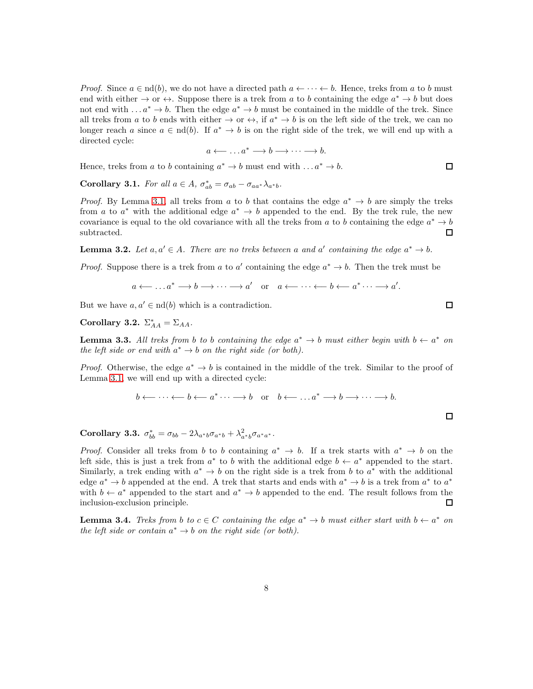*Proof.* Since  $a \in \text{nd}(b)$ , we do not have a directed path  $a \leftarrow \cdots \leftarrow b$ . Hence, treks from a to b must end with either  $\rightarrow$  or  $\leftrightarrow$ . Suppose there is a trek from a to b containing the edge  $a^* \rightarrow b$  but does not end with ...  $a^* \to b$ . Then the edge  $a^* \to b$  must be contained in the middle of the trek. Since all treks from a to b ends with either  $\rightarrow$  or  $\leftrightarrow$ , if  $a^* \rightarrow b$  is on the left side of the trek, we can no longer reach a since  $a \in \text{nd}(b)$ . If  $a^* \to b$  is on the right side of the trek, we will end up with a directed cycle:

$$
a \longleftrightarrow \dots a^* \longrightarrow b \longrightarrow \dots \longrightarrow b.
$$

Hence, treks from a to b containing  $a^* \to b$  must end with ...  $a^* \to b$ .

<span id="page-7-2"></span>**Corollary 3.1.** For all  $a \in A$ ,  $\sigma_{ab}^* = \sigma_{ab} - \sigma_{aa^*} \lambda_{a^*b}$ .

*Proof.* By Lemma [3.1,](#page-6-1) all treks from a to b that contains the edge  $a^* \to b$  are simply the treks from a to  $a^*$  with the additional edge  $a^* \to b$  appended to the end. By the trek rule, the new covariance is equal to the old covariance with all the treks from a to b containing the edge  $a^* \to b$ subtracted.  $\Box$ 

**Lemma 3.2.** Let  $a, a' \in A$ . There are no treks between a and a' containing the edge  $a^* \to b$ .

*Proof.* Suppose there is a trek from a to a' containing the edge  $a^* \to b$ . Then the trek must be

$$
a \leftarrow \dots a^* \longrightarrow b \longrightarrow \dots \longrightarrow a'
$$
 or  $a \leftarrow \dots \leftarrow b \leftarrow a^* \dots \longrightarrow a'.$ 

But we have  $a, a' \in \text{nd}(b)$  which is a contradiction.

<span id="page-7-3"></span>Corollary 3.2.  $\Sigma_{AA}^* = \Sigma_{AA}$ .

<span id="page-7-0"></span>**Lemma 3.3.** All treks from b to b containing the edge  $a^* \to b$  must either begin with  $b \leftarrow a^*$  on the left side or end with  $a^* \to b$  on the right side (or both).

*Proof.* Otherwise, the edge  $a^* \to b$  is contained in the middle of the trek. Similar to the proof of Lemma [3.1,](#page-6-1) we will end up with a directed cycle:

$$
b \longleftarrow \cdots \longleftarrow b \longleftarrow a^* \cdots \longrightarrow b \quad \text{or} \quad b \longleftarrow \ldots a^* \longrightarrow b \longrightarrow \cdots \longrightarrow b.
$$

<span id="page-7-1"></span>Corollary 3.3.  $\sigma_{bb}^* = \sigma_{bb} - 2\lambda_{a^*b}\sigma_{a^*b} + \lambda_{a^*b}^2\sigma_{a^*a^*}.$ 

*Proof.* Consider all treks from b to b containing  $a^* \to b$ . If a trek starts with  $a^* \to b$  on the left side, this is just a trek from  $a^*$  to b with the additional edge  $b \leftarrow a^*$  appended to the start. Similarly, a trek ending with  $a^* \to b$  on the right side is a trek from b to  $a^*$  with the additional edge  $a^* \to b$  appended at the end. A trek that starts and ends with  $a^* \to b$  is a trek from  $a^*$  to  $a^*$ with  $b \leftarrow a^*$  appended to the start and  $a^* \rightarrow b$  appended to the end. The result follows from the inclusion-exclusion principle.  $\Box$ 

**Lemma 3.4.** Treks from b to  $c \in C$  containing the edge  $a^* \to b$  must either start with  $b \leftarrow a^*$  on the left side or contain  $a^* \to b$  on the right side (or both).

 $\Box$ 

 $\Box$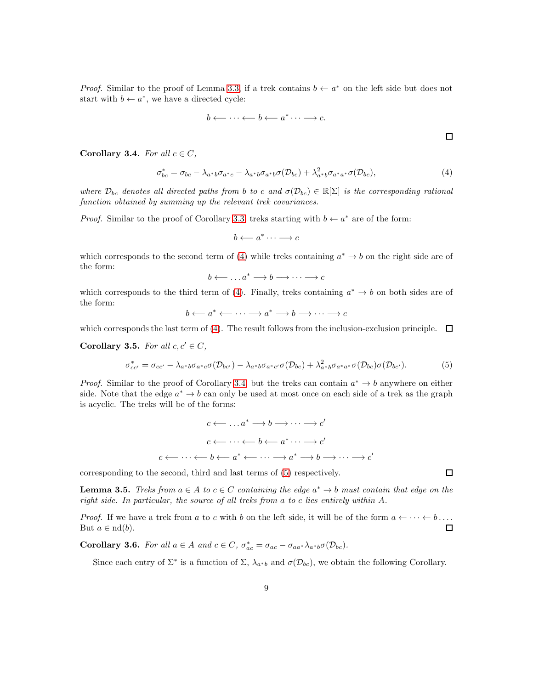*Proof.* Similar to the proof of Lemma [3.3,](#page-7-0) if a trek contains  $b \leftarrow a^*$  on the left side but does not start with  $b \leftarrow a^*$ , we have a directed cycle:

$$
b \longleftarrow \cdots \longleftarrow b \longleftarrow a^* \cdots \longrightarrow c.
$$

<span id="page-8-1"></span>Corollary 3.4. For all  $c \in C$ ,

$$
\sigma_{bc}^* = \sigma_{bc} - \lambda_{a^*b}\sigma_{a^*c} - \lambda_{a^*b}\sigma_{a^*b}\sigma(\mathcal{D}_{bc}) + \lambda_{a^*b}^2\sigma_{a^*a^*}\sigma(\mathcal{D}_{bc}),
$$
\n
$$
\tag{4}
$$

where  $\mathcal{D}_{bc}$  denotes all directed paths from b to c and  $\sigma(\mathcal{D}_{bc}) \in \mathbb{R}[\Sigma]$  is the corresponding rational function obtained by summing up the relevant trek covariances.

*Proof.* Similar to the proof of Corollary [3.3,](#page-7-1) treks starting with  $b \leftarrow a^*$  are of the form:

$$
b \longleftarrow a^* \cdots \longrightarrow c
$$

which corresponds to the second term of [\(4\)](#page-8-0) while treks containing  $a^* \to b$  on the right side are of the form:

 $b \longleftrightarrow \ldots a^* \longrightarrow b \longrightarrow \cdots \longrightarrow c$ 

which corresponds to the third term of [\(4\)](#page-8-0). Finally, treks containing  $a^* \to b$  on both sides are of the form:

$$
b \longleftarrow a^* \longleftarrow \cdots \longrightarrow a^* \longrightarrow b \longrightarrow \cdots \longrightarrow c
$$

which corresponds the last term of [\(4\)](#page-8-0). The result follows from the inclusion-exclusion principle.  $\Box$ 

<span id="page-8-3"></span>Corollary 3.5. For all  $c, c' \in C$ ,

$$
\sigma_{cc'}^* = \sigma_{cc'} - \lambda_{a^*b} \sigma_{a^*c} \sigma(\mathcal{D}_{bc'}) - \lambda_{a^*b} \sigma_{a^*c'} \sigma(\mathcal{D}_{bc}) + \lambda_{a^*b}^2 \sigma_{a^*a^*} \sigma(\mathcal{D}_{bc}) \sigma(\mathcal{D}_{bc'}).
$$
(5)

*Proof.* Similar to the proof of Corollary [3.4,](#page-8-1) but the treks can contain  $a^* \to b$  anywhere on either side. Note that the edge  $a^* \to b$  can only be used at most once on each side of a trek as the graph is acyclic. The treks will be of the forms:

$$
c \longleftarrow \dots a^* \longrightarrow b \longrightarrow \dots \longrightarrow c'
$$
  

$$
c \longleftarrow \dots \longleftarrow b \longleftarrow a^* \dots \longrightarrow c'
$$
  

$$
c \longleftarrow \dots \longleftarrow b \longleftarrow a^* \longleftarrow \dots \longrightarrow a^* \longrightarrow b \longrightarrow \dots \longrightarrow c'
$$

corresponding to the second, third and last terms of [\(5\)](#page-8-2) respectively.

**Lemma 3.5.** Treks from  $a \in A$  to  $c \in C$  containing the edge  $a^* \to b$  must contain that edge on the right side. In particular, the source of all treks from a to c lies entirely within A.

*Proof.* If we have a trek from a to c with b on the left side, it will be of the form  $a \leftarrow \cdots \leftarrow b \dots$ But  $a \in \mathrm{nd}(b)$ .  $\Box$ 

**Corollary 3.6.** For all  $a \in A$  and  $c \in C$ ,  $\sigma_{ac}^* = \sigma_{ac} - \sigma_{aa^*} \lambda_{a^*b} \sigma(\mathcal{D}_{bc})$ .

Since each entry of  $\Sigma^*$  is a function of  $\Sigma$ ,  $\lambda_{a^*b}$  and  $\sigma(\mathcal{D}_{bc})$ , we obtain the following Corollary.

<span id="page-8-2"></span> $\Box$ 

<span id="page-8-0"></span> $\Box$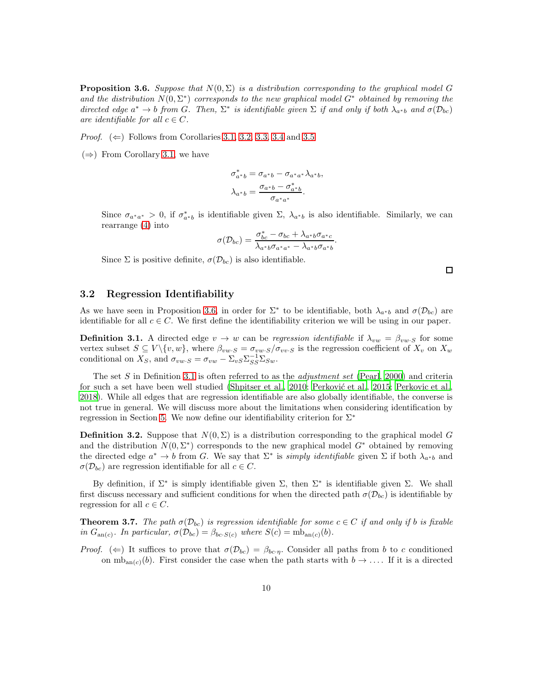<span id="page-9-0"></span>**Proposition 3.6.** Suppose that  $N(0, \Sigma)$  is a distribution corresponding to the graphical model G and the distribution  $N(0, \Sigma^*)$  corresponds to the new graphical model  $G^*$  obtained by removing the directed edge  $a^* \to b$  from G. Then,  $\Sigma^*$  is identifiable given  $\Sigma$  if and only if both  $\lambda_{a^*b}$  and  $\sigma(\mathcal{D}_{bc})$ are identifiable for all  $c \in C$ .

*Proof.* ( $\Leftarrow$ ) Follows from Corollaries [3.1,](#page-7-2) [3.2,](#page-7-3) [3.3,](#page-7-1) [3.4](#page-8-1) and [3.5](#page-8-3)

 $(\Rightarrow)$  From Corollary [3.1,](#page-7-2) we have

$$
\sigma_{a^*b}^* = \sigma_{a^*b} - \sigma_{a^*a^*} \lambda_{a^*b},
$$
  

$$
\lambda_{a^*b} = \frac{\sigma_{a^*b} - \sigma_{a^*b}^*}{\sigma_{a^*a^*}}.
$$

Since  $\sigma_{a^*a^*} > 0$ , if  $\sigma_{a^*b}^*$  is identifiable given  $\Sigma$ ,  $\lambda_{a^*b}$  is also identifiable. Similarly, we can rearrange [\(4\)](#page-8-0) into

$$
\sigma(\mathcal{D}_{bc}) = \frac{\sigma_{bc}^* - \sigma_{bc} + \lambda_{a^*b}\sigma_{a^*c}}{\lambda_{a^*b}\sigma_{a^*a^*} - \lambda_{a^*b}\sigma_{a^*b}}.
$$

Since  $\Sigma$  is positive definite,  $\sigma(\mathcal{D}_{bc})$  is also identifiable.

 $\Box$ 

### 3.2 Regression Identifiability

As we have seen in Proposition [3.6,](#page-9-0) in order for  $\Sigma^*$  to be identifiable, both  $\lambda_{a^*b}$  and  $\sigma(\mathcal{D}_{bc})$  are identifiable for all  $c \in C$ . We first define the identifiability criterion we will be using in our paper.

<span id="page-9-1"></span>**Definition 3.1.** A directed edge  $v \to w$  can be regression identifiable if  $\lambda_{vw} = \beta_{vw \cdot S}$  for some vertex subset  $S \subseteq V \setminus \{v, w\}$ , where  $\beta_{vw \cdot S} = \sigma_{vw \cdot S}/\sigma_{vv \cdot S}$  is the regression coefficient of  $X_v$  on  $X_w$ conditional on  $X_S$ , and  $\sigma_{vw \cdot S} = \sigma_{vw} - \Sigma_{vS} \Sigma_{SS}^{-1} \Sigma_{Sw}.$ 

The set S in Definition [3.1](#page-9-1) is often referred to as the *adjustment set* [\(Pearl](#page-20-3), [2000\)](#page-20-3) and criteria for such a set have been well studied [\(Shpitser et al., 2010](#page-21-12); Perković et al., 2015; [Perkovic et al.](#page-20-13), [2018\)](#page-20-13). While all edges that are regression identifiable are also globally identifiable, the converse is not true in general. We will discuss more about the limitations when considering identification by regression in Section [5.](#page-12-0) We now define our identifiability criterion for  $\Sigma^*$ 

**Definition 3.2.** Suppose that  $N(0, \Sigma)$  is a distribution corresponding to the graphical model G and the distribution  $N(0, \Sigma^*)$  corresponds to the new graphical model  $G^*$  obtained by removing the directed edge  $a^* \to b$  from G. We say that  $\Sigma^*$  is *simply identifiable* given  $\Sigma$  if both  $\lambda_{a^*b}$  and  $\sigma(\mathcal{D}_{bc})$  are regression identifiable for all  $c \in C$ .

By definition, if  $\Sigma^*$  is simply identifiable given  $\Sigma$ , then  $\Sigma^*$  is identifiable given  $\Sigma$ . We shall first discuss necessary and sufficient conditions for when the directed path  $\sigma(\mathcal{D}_{bc})$  is identifiable by regression for all  $c \in C$ .

<span id="page-9-2"></span>**Theorem 3.7.** The path  $\sigma(\mathcal{D}_{bc})$  is regression identifiable for some  $c \in C$  if and only if b is fixable in  $G_{\text{an}(c)}$ . In particular,  $\sigma(\mathcal{D}_{bc}) = \beta_{bc \cdot S(c)}$  where  $S(c) = \text{mb}_{\text{an}(c)}(b)$ .

Proof. ( $\Leftarrow$ ) It suffices to prove that  $\sigma(\mathcal{D}_{bc}) = \beta_{bc\eta}$ . Consider all paths from b to c conditioned on  $mb_{\text{an}(c)}(b)$ . First consider the case when the path starts with  $b \to \ldots$ . If it is a directed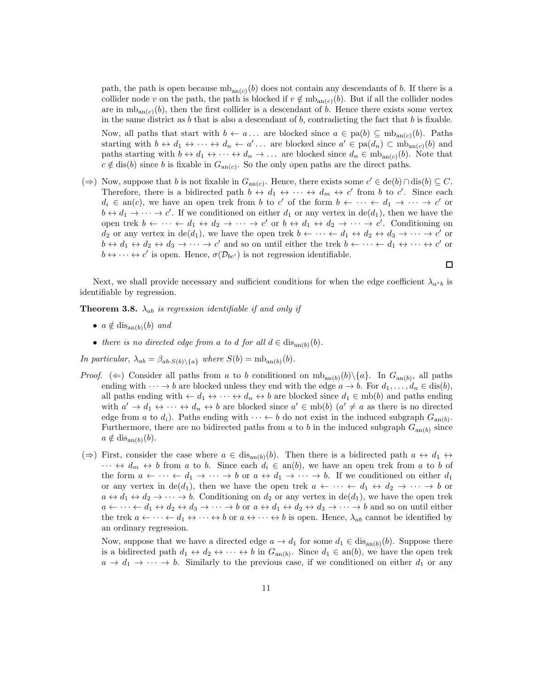path, the path is open because  $mb_{anc(c)}(b)$  does not contain any descendants of b. If there is a collider node v on the path, the path is blocked if  $v \notin m_{\text{ban}(c)}(b)$ . But if all the collider nodes are in  $mb_{\text{an}(c)}(b)$ , then the first collider is a descendant of b. Hence there exists some vertex in the same district as  $b$  that is also a descendant of  $b$ , contradicting the fact that  $b$  is fixable.

Now, all paths that start with  $b \leftarrow a \dots$  are blocked since  $a \in pa(b) \subseteq mb_{an(c)}(b)$ . Paths starting with  $b \leftrightarrow d_1 \leftrightarrow \cdots \leftrightarrow d_n \leftarrow a' \dots$  are blocked since  $a' \in \text{pa}(d_n) \subset \text{mb}_{\text{an}(c)}(b)$  and paths starting with  $b \leftrightarrow d_1 \leftrightarrow \cdots \leftrightarrow d_n \to \ldots$  are blocked since  $d_n \in mb_{an(c)}(b)$ . Note that  $c \notin \text{dis}(b)$  since b is fixable in  $G_{\text{an}(c)}$ . So the only open paths are the direct paths.

(⇒) Now, suppose that b is not fixable in  $G_{\text{an}(c)}$ . Hence, there exists some  $c' \in \text{de}(b) \cap \text{dis}(b) \subseteq C$ . Therefore, there is a bidirected path  $b \leftrightarrow d_1 \leftrightarrow \cdots \leftrightarrow d_m \leftrightarrow c'$  from b to c'. Since each  $d_i \in \text{an}(c)$ , we have an open trek from b to c' of the form  $b \leftarrow \cdots \leftarrow d_1 \rightarrow \cdots \rightarrow c'$  or  $b \leftrightarrow d_1 \rightarrow \cdots \rightarrow c'$ . If we conditioned on either  $d_1$  or any vertex in  $de(d_1)$ , then we have the open trek  $b \leftarrow \cdots \leftarrow d_1 \leftrightarrow d_2 \rightarrow \cdots \rightarrow c'$  or  $b \leftrightarrow d_1 \leftrightarrow d_2 \rightarrow \cdots \rightarrow c'$ . Conditioning on  $d_2$  or any vertex in  $de(d_1)$ , we have the open trek  $b \leftarrow \cdots \leftarrow d_1 \leftrightarrow d_2 \leftrightarrow d_3 \rightarrow \cdots \rightarrow c'$  or  $b \leftrightarrow d_1 \leftrightarrow d_2 \leftrightarrow d_3 \to \cdots \to c'$  and so on until either the trek  $b \leftarrow \cdots \leftarrow d_1 \leftrightarrow \cdots \leftrightarrow c'$  or  $b \leftrightarrow \cdots \leftrightarrow c'$  is open. Hence,  $\sigma(\mathcal{D}_{bc})$  is not regression identifiable.

Next, we shall provide necessary and sufficient conditions for when the edge coefficient  $\lambda_{a^*b}$  is identifiable by regression.

 $\Box$ 

<span id="page-10-0"></span>**Theorem 3.8.**  $\lambda_{ab}$  is regression identifiable if and only if

- $a \notin \text{dis}_{\text{an}(b)}(b)$  and
- there is no directed edge from a to d for all  $d \in \text{dis}_{\text{an}(b)}(b)$ .

In particular,  $\lambda_{ab} = \beta_{ab \cdot S(b) \setminus \{a\}}$  where  $S(b) = \text{mb}_{\text{an}(b)}(b)$ .

- *Proof.* ( $\Leftarrow$ ) Consider all paths from a to b conditioned on  $mb_{an(b)}(b)\setminus\{a\}$ . In  $G_{an(b)}$ , all paths ending with  $\cdots \rightarrow b$  are blocked unless they end with the edge  $a \rightarrow b$ . For  $d_1, \ldots, d_n \in \text{dis}(b)$ , all paths ending with  $\leftarrow d_1 \leftrightarrow \cdots \leftrightarrow d_n \leftrightarrow b$  are blocked since  $d_1 \in mb(b)$  and paths ending with  $a' \to d_1 \leftrightarrow \cdots \leftrightarrow d_n \leftrightarrow b$  are blocked since  $a' \in mb(b)$   $(a' \neq a$  as there is no directed edge from a to  $d_i$ ). Paths ending with  $\cdots \leftarrow b$  do not exist in the induced subgraph  $G_{an(b)}$ . Furthermore, there are no bidirected paths from a to b in the induced subgraph  $G_{\text{an}(b)}$  since  $a \notin \text{dis}_{\text{an}(b)}(b).$
- $(\Rightarrow)$  First, consider the case where  $a \in dis_{an(b)}(b)$ . Then there is a bidirected path  $a \leftrightarrow d_1 \leftrightarrow d_2$  $\cdots \leftrightarrow d_m \leftrightarrow b$  from a to b. Since each  $d_i \in an(b)$ , we have an open trek from a to b of the form  $a \leftarrow \cdots \leftarrow d_1 \rightarrow \cdots \rightarrow b$  or  $a \leftrightarrow d_1 \rightarrow \cdots \rightarrow b$ . If we conditioned on either  $d_1$ or any vertex in de(d<sub>1</sub>), then we have the open trek  $a \leftarrow \cdots \leftarrow d_1 \leftrightarrow d_2 \rightarrow \cdots \rightarrow b$  or  $a \leftrightarrow d_1 \leftrightarrow d_2 \rightarrow \cdots \rightarrow b$ . Conditioning on  $d_2$  or any vertex in de(d<sub>1</sub>), we have the open trek  $a \leftarrow \cdots \leftarrow d_1 \leftrightarrow d_2 \leftrightarrow d_3 \rightarrow \cdots \rightarrow b$  or  $a \leftrightarrow d_1 \leftrightarrow d_2 \leftrightarrow d_3 \rightarrow \cdots \rightarrow b$  and so on until either the trek  $a \leftarrow \cdots \leftarrow d_1 \leftrightarrow \cdots \leftrightarrow b$  or  $a \leftrightarrow \cdots \leftrightarrow b$  is open. Hence,  $\lambda_{ab}$  cannot be identified by an ordinary regression.

Now, suppose that we have a directed edge  $a \to d_1$  for some  $d_1 \in \text{dis}_{\text{an}(b)}(b)$ . Suppose there is a bidirected path  $d_1 \leftrightarrow d_2 \leftrightarrow \cdots \leftrightarrow b$  in  $G_{\text{an}(b)}$ . Since  $d_1 \in \text{an}(b)$ , we have the open trek  $a \to d_1 \to \cdots \to b$ . Similarly to the previous case, if we conditioned on either  $d_1$  or any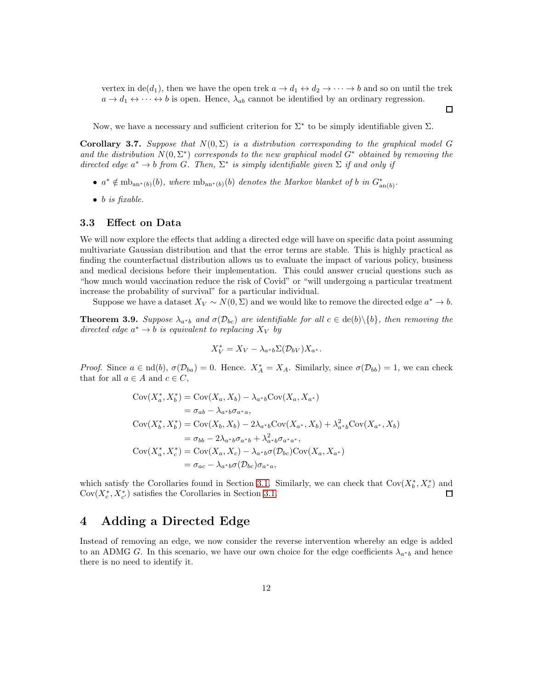vertex in  $\text{de}(d_1)$ , then we have the open trek  $a \to d_1 \leftrightarrow d_2 \to \cdots \to b$  and so on until the trek  $a \to d_1 \leftrightarrow \cdots \leftrightarrow b$  is open. Hence,  $\lambda_{ab}$  cannot be identified by an ordinary regression.

 $\Box$ 

Now, we have a necessary and sufficient criterion for  $\Sigma^*$  to be simply identifiable given  $\Sigma$ .

<span id="page-11-0"></span>Corollary 3.7. Suppose that  $N(0, \Sigma)$  is a distribution corresponding to the graphical model G and the distribution  $N(0, \Sigma^*)$  corresponds to the new graphical model  $G^*$  obtained by removing the directed edge  $a^* \to b$  from G. Then,  $\Sigma^*$  is simply identifiable given  $\Sigma$  if and only if

- $a^* \notin \mathrm{mb}_{an^*(b)}(b)$ , where  $\mathrm{mb}_{an^*(b)}(b)$  denotes the Markov blanket of b in  $G^*_{an(b)}$ .
- $\bullet$  b is fixable.

#### 3.3 Effect on Data

We will now explore the effects that adding a directed edge will have on specific data point assuming multivariate Gaussian distribution and that the error terms are stable. This is highly practical as finding the counterfactual distribution allows us to evaluate the impact of various policy, business and medical decisions before their implementation. This could answer crucial questions such as "how much would vaccination reduce the risk of Covid" or "will undergoing a particular treatment increase the probability of survival" for a particular individual.

Suppose we have a dataset  $X_V \sim N(0, \Sigma)$  and we would like to remove the directed edge  $a^* \to b$ .

<span id="page-11-1"></span>**Theorem 3.9.** Suppose  $\lambda_{a*b}$  and  $\sigma(\mathcal{D}_{bc})$  are identifiable for all  $c \in \text{de}(b) \setminus \{b\}$ , then removing the directed edge  $a^* \to b$  is equivalent to replacing  $X_V$  by

$$
X_V^* = X_V - \lambda_{a^*b} \Sigma(\mathcal{D}_{bV}) X_{a^*}.
$$

Proof. Since  $a \in \text{nd}(b)$ ,  $\sigma(\mathcal{D}_{ba}) = 0$ . Hence.  $X_A^* = X_A$ . Similarly, since  $\sigma(\mathcal{D}_{bb}) = 1$ , we can check that for all  $a \in A$  and  $c \in C$ ,

$$
Cov(X_a^*, X_b^*) = Cov(X_a, X_b) - \lambda_{a^*b}Cov(X_a, X_{a^*})
$$
  
\n
$$
= \sigma_{ab} - \lambda_{a^*b}\sigma_{a^*a},
$$
  
\n
$$
Cov(X_b^*, X_b^*) = Cov(X_b, X_b) - 2\lambda_{a^*b}Cov(X_{a^*}, X_b) + \lambda_{a^*b}^2Cov(X_{a^*}, X_b)
$$
  
\n
$$
= \sigma_{bb} - 2\lambda_{a^*b}\sigma_{a^*b} + \lambda_{a^*b}^2\sigma_{a^*a^*},
$$
  
\n
$$
Cov(X_a^*, X_c^*) = Cov(X_a, X_c) - \lambda_{a^*b}\sigma(D_{bc})Cov(X_a, X_{a^*})
$$
  
\n
$$
= \sigma_{ac} - \lambda_{a^*b}\sigma(D_{bc})\sigma_{a^*a},
$$

which satisfy the Corollaries found in Section [3.1.](#page-6-2) Similarly, we can check that  $Cov(X_b^*, X_c^*)$  and  $Cov(X_c^*, X_{c'}^*)$  satisfies the Corollaries in Section [3.1.](#page-6-2)  $\Box$ 

### 4 Adding a Directed Edge

Instead of removing an edge, we now consider the reverse intervention whereby an edge is added to an ADMG G. In this scenario, we have our own choice for the edge coefficients  $\lambda_{a^*b}$  and hence there is no need to identify it.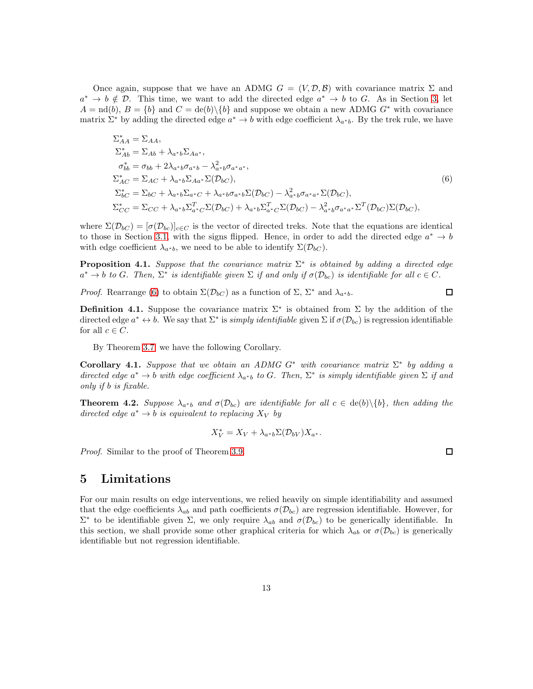Once again, suppose that we have an ADMG  $G = (V, \mathcal{D}, \mathcal{B})$  with covariance matrix  $\Sigma$  and  $a^* \to b \notin \mathcal{D}$ . This time, we want to add the directed edge  $a^* \to b$  to G. As in Section [3,](#page-6-3) let  $A = nd(b), B = \{b\}$  and  $C = de(b)\{b\}$  and suppose we obtain a new ADMG  $G^*$  with covariance matrix  $\Sigma^*$  by adding the directed edge  $a^* \to b$  with edge coefficient  $\lambda_{a^*b}$ . By the trek rule, we have

$$
\Sigma_{AA}^{*} = \Sigma_{AA},
$$
\n
$$
\Sigma_{Ab}^{*} = \Sigma_{Ab} + \lambda_{a^{*}b} \Sigma_{Aa^{*}},
$$
\n
$$
\sigma_{bb}^{*} = \sigma_{bb} + 2\lambda_{a^{*}b} \sigma_{a^{*}b} - \lambda_{a^{*}b}^{2} \sigma_{a^{*}a^{*}},
$$
\n
$$
\Sigma_{AC}^{*} = \Sigma_{AC} + \lambda_{a^{*}b} \Sigma_{Aa^{*}} \Sigma(D_{bC}),
$$
\n
$$
\Sigma_{bC}^{*} = \Sigma_{bC} + \lambda_{a^{*}b} \Sigma_{a^{*}C} + \lambda_{a^{*}b} \sigma_{a^{*}b} \Sigma(D_{bC}) - \lambda_{a^{*}b}^{2} \sigma_{a^{*}a^{*}} \Sigma(D_{bC}),
$$
\n
$$
\Sigma_{CC}^{*} = \Sigma_{CC} + \lambda_{a^{*}b} \Sigma_{a^{*}C}^{T} \Sigma(D_{bC}) + \lambda_{a^{*}b} \Sigma_{a^{*}C}^{T} \Sigma(D_{bC}) - \lambda_{a^{*}b}^{2} \sigma_{a^{*}a^{*}} \Sigma^{T}(D_{bC}) \Sigma(D_{bC}),
$$
\n(6)

where  $\Sigma(\mathcal{D}_{bc}) = [\sigma(\mathcal{D}_{bc})]_{c \in C}$  is the vector of directed treks. Note that the equations are identical to those in Section [3.1,](#page-6-2) with the signs flipped. Hence, in order to add the directed edge  $a^* \to b$ with edge coefficient  $\lambda_{a^*b}$ , we need to be able to identify  $\Sigma(\mathcal{D}_{bC})$ .

**Proposition 4.1.** Suppose that the covariance matrix  $\Sigma^*$  is obtained by adding a directed edge  $a^* \to b$  to G. Then,  $\Sigma^*$  is identifiable given  $\Sigma$  if and only if  $\sigma(\mathcal{D}_{bc})$  is identifiable for all  $c \in C$ .

*Proof.* Rearrange [\(6\)](#page-12-1) to obtain  $\Sigma(\mathcal{D}_{bC})$  as a function of  $\Sigma$ ,  $\Sigma^*$  and  $\lambda_{a^*b}$ .

**Definition 4.1.** Suppose the covariance matrix  $\Sigma^*$  is obtained from  $\Sigma$  by the addition of the directed edge  $a^* \leftrightarrow b$ . We say that  $\Sigma^*$  is *simply identifiable* given  $\Sigma$  if  $\sigma(\mathcal{D}_{bc})$  is regression identifiable for all  $c \in C$ .

By Theorem [3.7,](#page-9-2) we have the following Corollary.

Corollary 4.1. Suppose that we obtain an ADMG  $G^*$  with covariance matrix  $\Sigma^*$  by adding a directed edge  $a^* \to b$  with edge coefficient  $\lambda_{a^*b}$  to G. Then,  $\Sigma^*$  is simply identifiable given  $\Sigma$  if and only if b is fixable.

<span id="page-12-2"></span>**Theorem 4.2.** Suppose  $\lambda_{a*b}$  and  $\sigma(\mathcal{D}_{bc})$  are identifiable for all  $c \in \text{de}(b)\setminus\{b\}$ , then adding the directed edge  $a^* \to b$  is equivalent to replacing  $X_V$  by

$$
X_V^* = X_V + \lambda_{a^*b} \Sigma(\mathcal{D}_{bV}) X_{a^*}.
$$

Proof. Similar to the proof of Theorem [3.9.](#page-11-1)

 $\Box$ 

<span id="page-12-1"></span> $\Box$ 

### <span id="page-12-0"></span>5 Limitations

For our main results on edge interventions, we relied heavily on simple identifiability and assumed that the edge coefficients  $\lambda_{ab}$  and path coefficients  $\sigma(\mathcal{D}_{bc})$  are regression identifiable. However, for  $\Sigma^*$  to be identifiable given Σ, we only require  $\lambda_{ab}$  and  $\sigma(\mathcal{D}_{bc})$  to be generically identifiable. In this section, we shall provide some other graphical criteria for which  $\lambda_{ab}$  or  $\sigma(\mathcal{D}_{bc})$  is generically identifiable but not regression identifiable.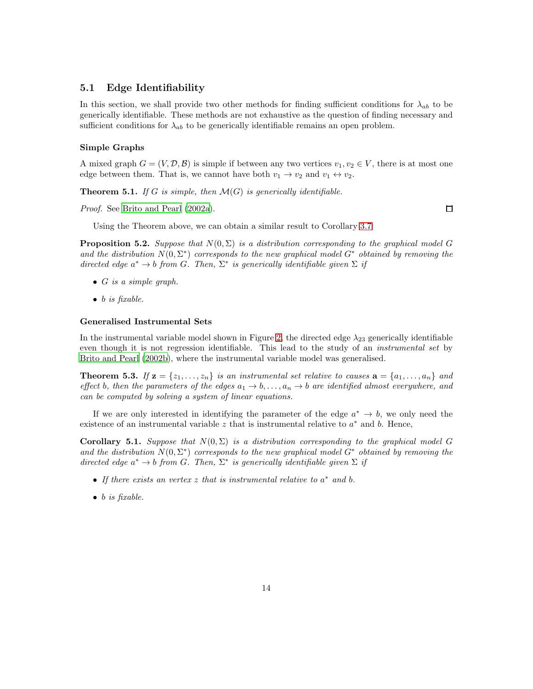### 5.1 Edge Identifiability

In this section, we shall provide two other methods for finding sufficient conditions for  $\lambda_{ab}$  to be generically identifiable. These methods are not exhaustive as the question of finding necessary and sufficient conditions for  $\lambda_{ab}$  to be generically identifiable remains an open problem.

#### Simple Graphs

A mixed graph  $G = (V, \mathcal{D}, \mathcal{B})$  is simple if between any two vertices  $v_1, v_2 \in V$ , there is at most one edge between them. That is, we cannot have both  $v_1 \rightarrow v_2$  and  $v_1 \leftrightarrow v_2$ .

**Theorem 5.1.** If G is simple, then  $\mathcal{M}(G)$  is generically identifiable.

Proof. See [Brito and Pearl \(2002a\)](#page-19-6).

 $\Box$ 

Using the Theorem above, we can obtain a similar result to Corollary [3.7:](#page-11-0)

**Proposition 5.2.** Suppose that  $N(0, \Sigma)$  is a distribution corresponding to the graphical model G and the distribution  $N(0, \Sigma^*)$  corresponds to the new graphical model  $G^*$  obtained by removing the directed edge  $a^* \to b$  from G. Then,  $\Sigma^*$  is generically identifiable given  $\Sigma$  if

- $\bullet$  G is a simple graph.
- $\bullet$  b is fixable.

#### Generalised Instrumental Sets

In the instrumental variable model shown in Figure [2,](#page-2-1) the directed edge  $\lambda_{23}$  generically identifiable even though it is not regression identifiable. This lead to the study of an *instrumental set* by [Brito and Pearl \(2002b](#page-19-7)), where the instrumental variable model was generalised.

**Theorem 5.3.** If  $\mathbf{z} = \{z_1, \ldots, z_n\}$  is an instrumental set relative to causes  $\mathbf{a} = \{a_1, \ldots, a_n\}$  and effect b, then the parameters of the edges  $a_1 \rightarrow b, \ldots, a_n \rightarrow b$  are identified almost everywhere, and can be computed by solving a system of linear equations.

If we are only interested in identifying the parameter of the edge  $a^* \to b$ , we only need the existence of an instrumental variable  $z$  that is instrumental relative to  $a^*$  and  $b$ . Hence,

Corollary 5.1. Suppose that  $N(0, \Sigma)$  is a distribution corresponding to the graphical model G and the distribution  $N(0, \Sigma^*)$  corresponds to the new graphical model  $G^*$  obtained by removing the directed edge  $a^* \to b$  from G. Then,  $\Sigma^*$  is generically identifiable given  $\Sigma$  if

- If there exists an vertex  $z$  that is instrumental relative to  $a^*$  and b.
- $\bullet$  b is fixable.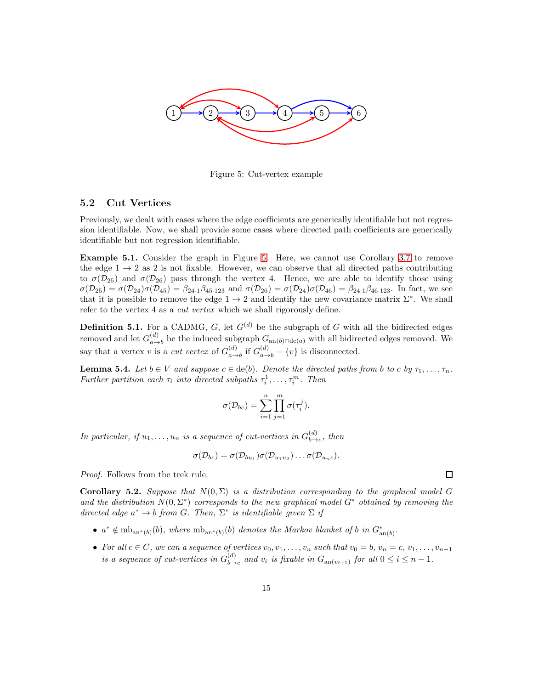<span id="page-14-0"></span>

Figure 5: Cut-vertex example

#### 5.2 Cut Vertices

Previously, we dealt with cases where the edge coefficients are generically identifiable but not regression identifiable. Now, we shall provide some cases where directed path coefficients are generically identifiable but not regression identifiable.

Example 5.1. Consider the graph in Figure [5.](#page-14-0) Here, we cannot use Corollary [3.7](#page-11-0) to remove the edge  $1 \rightarrow 2$  as 2 is not fixable. However, we can observe that all directed paths contributing to  $\sigma(\mathcal{D}_{25})$  and  $\sigma(\mathcal{D}_{26})$  pass through the vertex 4. Hence, we are able to identify those using  $\sigma(\mathcal{D}_{25}) = \sigma(\mathcal{D}_{24})\sigma(\mathcal{D}_{45}) = \beta_{24\cdot 1}\beta_{45\cdot 123}$  and  $\sigma(\mathcal{D}_{26}) = \sigma(\mathcal{D}_{24})\sigma(\mathcal{D}_{46}) = \beta_{24\cdot 1}\beta_{46\cdot 123}$ . In fact, we see that it is possible to remove the edge  $1 \rightarrow 2$  and identify the new covariance matrix  $\Sigma^*$ . We shall refer to the vertex 4 as a cut vertex which we shall rigorously define.

**Definition 5.1.** For a CADMG, G, let  $G<sup>(d)</sup>$  be the subgraph of G with all the bidirected edges removed and let  $G_{a}^{(d)}$  $\binom{a}{a-b}$  be the induced subgraph  $G_{an(b)\cap de(a)}$  with all bidirected edges removed. We say that a vertex v is a *cut vertex* of  $G_{a}^{(d)}$  $\binom{d}{a-b}$  if  $G_{a\rightarrow b}^{(d)} - \{v\}$  is disconnected.

**Lemma 5.4.** Let  $b \in V$  and suppose  $c \in \text{de}(b)$ . Denote the directed paths from b to c by  $\tau_1, \ldots, \tau_n$ . Further partition each  $\tau_i$  into directed subpaths  $\tau_i^1, \ldots, \tau_i^m$ . Then

$$
\sigma(\mathcal{D}_{bc}) = \sum_{i=1}^{n} \prod_{j=1}^{m} \sigma(\tau_i^j).
$$

In particular, if  $u_1, \ldots, u_n$  is a sequence of cut-vertices in  $G_{b \rightarrow b}^{(d)}$  $_{b\rightarrow c}^{(u)}$ , then

$$
\sigma(\mathcal{D}_{bc}) = \sigma(\mathcal{D}_{bu_1})\sigma(\mathcal{D}_{u_1u_2})\ldots\sigma(\mathcal{D}_{u_nc}).
$$

Proof. Follows from the trek rule.

Corollary 5.2. Suppose that  $N(0, \Sigma)$  is a distribution corresponding to the graphical model G and the distribution  $N(0, \Sigma^*)$  corresponds to the new graphical model  $G^*$  obtained by removing the directed edge  $a^* \to b$  from G. Then,  $\Sigma^*$  is identifiable given  $\Sigma$  if

- $a^* \notin \text{mb}_{\text{an}^*(b)}(b)$ , where  $\text{mb}_{\text{an}^*(b)}(b)$  denotes the Markov blanket of b in  $G^*_{\text{an}(b)}$ .
- For all  $c \in C$ , we can a sequence of vertices  $v_0, v_1, \ldots, v_n$  such that  $v_0 = b, v_n = c, v_1, \ldots, v_{n-1}$ is a sequence of cut-vertices in  $G_{b\rightarrow}^{(d)}$  $\int_{b\rightarrow c}^{(a)}$  and  $v_i$  is fixable in  $G_{an(v_{i+1})}$  for all  $0 \leq i \leq n-1$ .

 $\Box$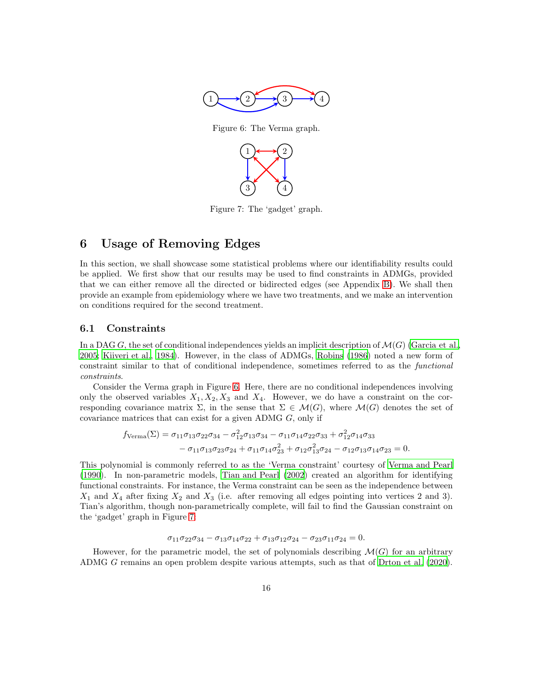<span id="page-15-0"></span>

Figure 6: The Verma graph.



Figure 7: The 'gadget' graph.

# <span id="page-15-1"></span>6 Usage of Removing Edges

In this section, we shall showcase some statistical problems where our identifiability results could be applied. We first show that our results may be used to find constraints in ADMGs, provided that we can either remove all the directed or bidirected edges (see Appendix [B\)](#page-22-0). We shall then provide an example from epidemiology where we have two treatments, and we make an intervention on conditions required for the second treatment.

### 6.1 Constraints

In a DAG G, the set of conditional independences yields an implicit description of  $\mathcal{M}(G)$  [\(Garcia et al.,](#page-19-8) [2005;](#page-19-8) [Kiiveri et al.](#page-20-16), [1984\)](#page-20-16). However, in the class of ADMGs, [Robins \(1986](#page-21-11)) noted a new form of constraint similar to that of conditional independence, sometimes referred to as the functional constraints.

Consider the Verma graph in Figure [6.](#page-15-0) Here, there are no conditional independences involving only the observed variables  $X_1, X_2, X_3$  and  $X_4$ . However, we do have a constraint on the corresponding covariance matrix  $\Sigma$ , in the sense that  $\Sigma \in \mathcal{M}(G)$ , where  $\mathcal{M}(G)$  denotes the set of covariance matrices that can exist for a given ADMG G, only if

$$
f_{\text{Verma}}(\Sigma) = \sigma_{11}\sigma_{13}\sigma_{22}\sigma_{34} - \sigma_{12}^{2}\sigma_{13}\sigma_{34} - \sigma_{11}\sigma_{14}\sigma_{22}\sigma_{33} + \sigma_{12}^{2}\sigma_{14}\sigma_{33} - \sigma_{11}\sigma_{13}\sigma_{23}\sigma_{24} + \sigma_{11}\sigma_{14}\sigma_{23}^{2} + \sigma_{12}\sigma_{13}^{2}\sigma_{24} - \sigma_{12}\sigma_{13}\sigma_{14}\sigma_{23} = 0.
$$

This polynomial is commonly referred to as the 'Verma constraint' courtesy of [Verma and Pearl](#page-21-16) [\(1990\)](#page-21-16). In non-parametric models, [Tian and Pearl \(2002\)](#page-21-17) created an algorithm for identifying functional constraints. For instance, the Verma constraint can be seen as the independence between  $X_1$  and  $X_4$  after fixing  $X_2$  and  $X_3$  (i.e. after removing all edges pointing into vertices 2 and 3). Tian's algorithm, though non-parametrically complete, will fail to find the Gaussian constraint on the 'gadget' graph in Figure [7:](#page-15-1)

$$
\sigma_{11}\sigma_{22}\sigma_{34} - \sigma_{13}\sigma_{14}\sigma_{22} + \sigma_{13}\sigma_{12}\sigma_{24} - \sigma_{23}\sigma_{11}\sigma_{24} = 0.
$$

However, for the parametric model, the set of polynomials describing  $\mathcal{M}(G)$  for an arbitrary ADMG G remains an open problem despite various attempts, such as that of [Drton et al. \(2020\)](#page-19-9).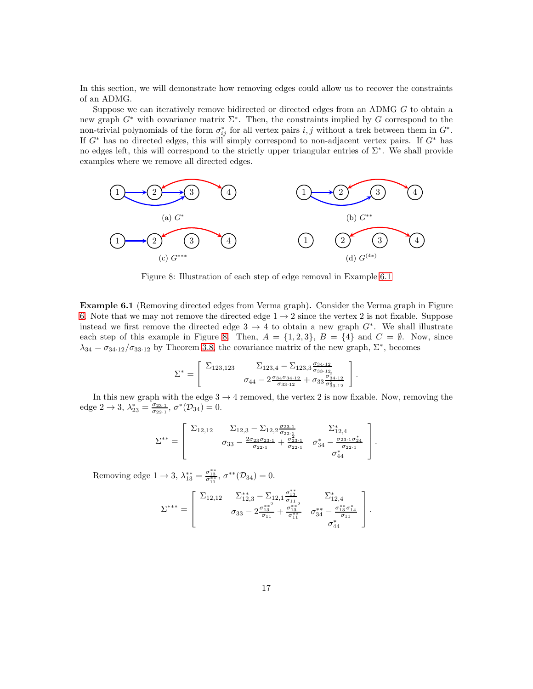In this section, we will demonstrate how removing edges could allow us to recover the constraints of an ADMG.

Suppose we can iteratively remove bidirected or directed edges from an ADMG G to obtain a new graph  $G^*$  with covariance matrix  $\Sigma^*$ . Then, the constraints implied by G correspond to the non-trivial polynomials of the form  $\sigma_{ij}^*$  for all vertex pairs i, j without a trek between them in  $G^*$ . If  $G^*$  has no directed edges, this will simply correspond to non-adjacent vertex pairs. If  $G^*$  has no edges left, this will correspond to the strictly upper triangular entries of Σ<sup>∗</sup> . We shall provide examples where we remove all directed edges.

<span id="page-16-1"></span>

Figure 8: Illustration of each step of edge removal in Example [6.1](#page-16-0)

<span id="page-16-0"></span>Example 6.1 (Removing directed edges from Verma graph). Consider the Verma graph in Figure [6.](#page-15-0) Note that we may not remove the directed edge  $1 \rightarrow 2$  since the vertex 2 is not fixable. Suppose instead we first remove the directed edge  $3 \rightarrow 4$  to obtain a new graph  $G^*$ . We shall illustrate each step of this example in Figure [8.](#page-16-1) Then,  $A = \{1, 2, 3\}$ ,  $B = \{4\}$  and  $C = \emptyset$ . Now, since  $\lambda_{34} = \sigma_{34\cdot 12}/\sigma_{33\cdot 12}$  by Theorem [3.8,](#page-10-0) the covariance matrix of the new graph,  $\Sigma^*$ , becomes

$$
\Sigma^* = \left[ \begin{array}{cc} \Sigma_{123,123} & \Sigma_{123,4} - \Sigma_{123,3} \frac{\sigma_{34\cdot 12}}{\sigma_{33\cdot 12}}\\ \sigma_{44} - 2 \frac{\sigma_{34}\sigma_{34\cdot 12}}{\sigma_{33\cdot 12}} + \sigma_{33} \frac{\sigma_{34\cdot 12}}{\sigma_{33\cdot 12}^2} \end{array} \right].
$$

In this new graph with the edge  $3 \rightarrow 4$  removed, the vertex 2 is now fixable. Now, removing the edge  $2 \to 3$ ,  $\lambda_{23}^* = \frac{\sigma_{23\cdot 1}}{\sigma_{22\cdot 1}}$ ,  $\sigma^*(\mathcal{D}_{34}) = 0$ .

$$
\Sigma^{**} = \begin{bmatrix} \Sigma_{12,12} & \Sigma_{12,3} - \Sigma_{12,2} \frac{\sigma_{23\cdot 1}}{\sigma_{22\cdot 1}} & \Sigma_{12,4}^* \\ \sigma_{33} - \frac{2\sigma_{23}\sigma_{23\cdot 1}}{\sigma_{22\cdot 1}} + \frac{\sigma_{23\cdot 1}}{\sigma_{22\cdot 1}} & \sigma_{34}^* - \frac{\sigma_{23\cdot 1}\sigma_{24}^*}{\sigma_{22\cdot 1}} \\ \sigma_{44}^* & \end{bmatrix}.
$$

Removing edge  $1 \to 3$ ,  $\lambda_{13}^{**} = \frac{\sigma_{13}^{**}}{\sigma_{11}^{**}}$ ,  $\sigma^{**}(\mathcal{D}_{34}) = 0$ .

$$
\Sigma^{***}=\left[\begin{array}{ccc} \Sigma_{12,12} & \Sigma_{12,3}^{**}-\Sigma_{12,1}\frac{\sigma_{13}^{**}}{\sigma_{11}} & \Sigma_{12,4}^{*} \\ & \sigma_{33}-2\frac{\sigma_{13}^{**}}{\sigma_{11}}+\frac{\sigma_{13}^{**}}{\sigma_{11}^{**}} & \sigma_{34}^{**}-\frac{\sigma_{13}^{**}\sigma_{14}^{*}}{\sigma_{11}} \\ & & \sigma_{44}^{*} \end{array}\right].
$$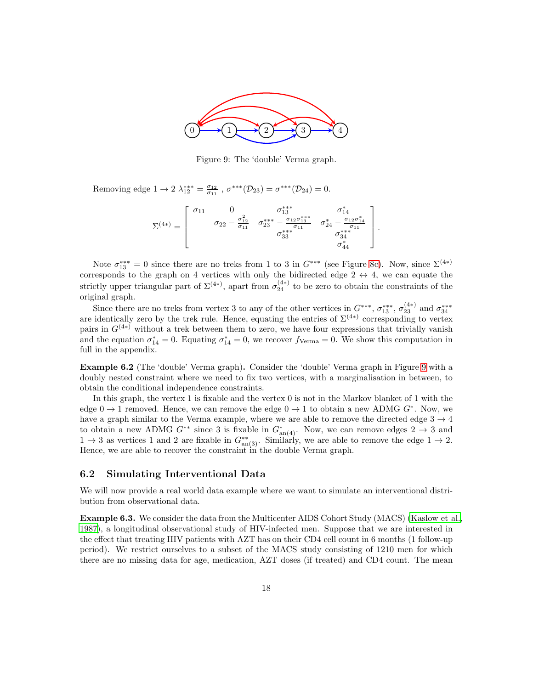<span id="page-17-0"></span>

Figure 9: The 'double' Verma graph.

Removing edge  $1 \to 2 \lambda_{12}^{***} = \frac{\sigma_{12}}{\sigma_{11}}$ ,  $\sigma^{***}(\mathcal{D}_{23}) = \sigma^{***}(\mathcal{D}_{24}) = 0$ .

$$
\Sigma^{(4*)} = \left[\begin{array}{cccc} \sigma_{11} & 0 & \sigma_{13}^{***} & \sigma_{14}^{*} \\ & \sigma_{22}-\frac{\sigma_{12}^{2}}{\sigma_{11}} & \sigma_{23}^{***} -\frac{\sigma_{12}\sigma_{13}^{***}}{\sigma_{11}} & \sigma_{24}^{*}-\frac{\sigma_{12}\sigma_{14}^{*}}{\sigma_{11}} \\ & & \sigma_{33}^{***} & \sigma_{34}^{***} \\ & & & \sigma_{44}^{*} \end{array}\right]
$$

.

Note  $\sigma_{13}^{***} = 0$  since there are no treks from 1 to 3 in  $G^{***}$  (see Figure [8c\)](#page-16-1). Now, since  $\Sigma^{(4*)}$ corresponds to the graph on 4 vertices with only the bidirected edge  $2 \leftrightarrow 4$ , we can equate the strictly upper triangular part of  $\Sigma^{(4*)}$ , apart from  $\sigma_{24}^{(4*)}$  to be zero to obtain the constraints of the original graph.

Since there are no treks from vertex 3 to any of the other vertices in  $G^{***}$ ,  $\sigma_{13}^{***}$ ,  $\sigma_{23}^{(4*)}$  and  $\sigma_{34}^{***}$ are identically zero by the trek rule. Hence, equating the entries of  $\Sigma^{(4*)}$  corresponding to vertex pairs in  $G^{(4*)}$  without a trek between them to zero, we have four expressions that trivially vanish and the equation  $\sigma_{14}^* = 0$ . Equating  $\sigma_{14}^* = 0$ , we recover  $f_{\text{Verma}} = 0$ . We show this computation in full in the appendix.

Example 6.2 (The 'double' Verma graph). Consider the 'double' Verma graph in Figure [9](#page-17-0) with a doubly nested constraint where we need to fix two vertices, with a marginalisation in between, to obtain the conditional independence constraints.

In this graph, the vertex 1 is fixable and the vertex 0 is not in the Markov blanket of 1 with the edge  $0 \to 1$  removed. Hence, we can remove the edge  $0 \to 1$  to obtain a new ADMG  $G^*$ . Now, we have a graph similar to the Verma example, where we are able to remove the directed edge  $3 \rightarrow 4$ to obtain a new ADMG  $G^{**}$  since 3 is fixable in  $G^*_{\text{an}(4)}$ . Now, we can remove edges  $2 \to 3$  and  $1 \rightarrow 3$  as vertices 1 and 2 are fixable in  $G_{\text{an}(3)}^{**}$ . Similarly, we are able to remove the edge  $1 \rightarrow 2$ . Hence, we are able to recover the constraint in the double Verma graph.

#### 6.2 Simulating Interventional Data

We will now provide a real world data example where we want to simulate an interventional distribution from observational data.

Example 6.3. We consider the data from the Multicenter AIDS Cohort Study (MACS) [\(Kaslow et al.,](#page-20-17) [1987\)](#page-20-17), a longitudinal observational study of HIV-infected men. Suppose that we are interested in the effect that treating HIV patients with AZT has on their CD4 cell count in 6 months (1 follow-up period). We restrict ourselves to a subset of the MACS study consisting of 1210 men for which there are no missing data for age, medication, AZT doses (if treated) and CD4 count. The mean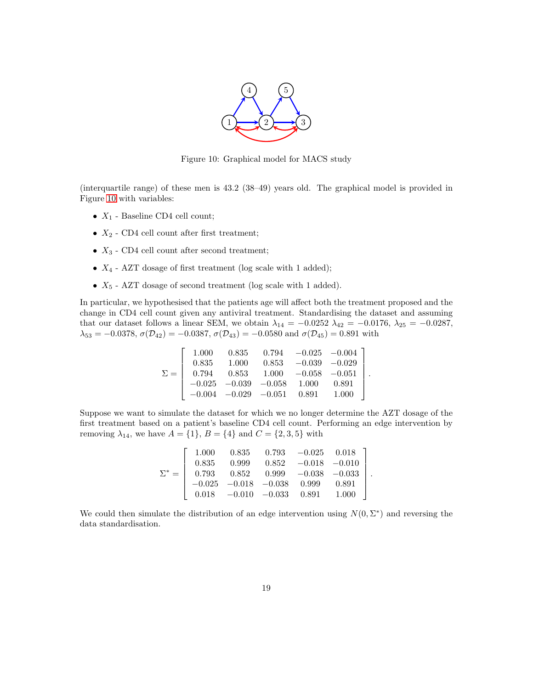

Figure 10: Graphical model for MACS study

<span id="page-18-0"></span>(interquartile range) of these men is 43.2 (38–49) years old. The graphical model is provided in Figure [10](#page-18-0) with variables:

- $X_1$  Baseline CD4 cell count;
- $X_2$  CD4 cell count after first treatment;
- $X_3$  CD4 cell count after second treatment;
- $X_4$  AZT dosage of first treatment (log scale with 1 added);
- $X_5$  AZT dosage of second treatment (log scale with 1 added).

In particular, we hypothesised that the patients age will affect both the treatment proposed and the change in CD4 cell count given any antiviral treatment. Standardising the dataset and assuming that our dataset follows a linear SEM, we obtain  $\lambda_{14} = -0.0252 \lambda_{42} = -0.0176$ ,  $\lambda_{25} = -0.0287$ ,  $\lambda_{53} = -0.0378$ ,  $\sigma(\mathcal{D}_{42}) = -0.0387$ ,  $\sigma(\mathcal{D}_{43}) = -0.0580$  and  $\sigma(\mathcal{D}_{45}) = 0.891$  with

$$
\Sigma = \left[\begin{array}{cccccc} 1.000 & 0.835 & 0.794 & -0.025 & -0.004 \\ 0.835 & 1.000 & 0.853 & -0.039 & -0.029 \\ 0.794 & 0.853 & 1.000 & -0.058 & -0.051 \\ -0.025 & -0.039 & -0.058 & 1.000 & 0.891 \\ -0.004 & -0.029 & -0.051 & 0.891 & 1.000 \end{array}\right]
$$

.

Suppose we want to simulate the dataset for which we no longer determine the AZT dosage of the first treatment based on a patient's baseline CD4 cell count. Performing an edge intervention by removing  $\lambda_{14}$ , we have  $A = \{1\}$ ,  $B = \{4\}$  and  $C = \{2, 3, 5\}$  with

| 1.000                                                                                |                                                   | $0.835$ $0.793$ $-0.025$ $0.018$                |        |  |
|--------------------------------------------------------------------------------------|---------------------------------------------------|-------------------------------------------------|--------|--|
| 0.835                                                                                |                                                   | $0.999 \qquad 0.852 \qquad -0.018 \quad -0.010$ |        |  |
| $\Sigma^* = \begin{bmatrix} 0.793 & 0.852 & 0.999 & -0.038 & -0.033 \end{bmatrix}$ . |                                                   |                                                 |        |  |
|                                                                                      | $-0.025 \quad -0.018 \quad -0.038 \quad \  0.999$ |                                                 | 0.891  |  |
|                                                                                      | $0.018 \quad -0.010 \quad -0.033 \quad 0.891$     |                                                 | -1.000 |  |

We could then simulate the distribution of an edge intervention using  $N(0, \Sigma^*)$  and reversing the data standardisation.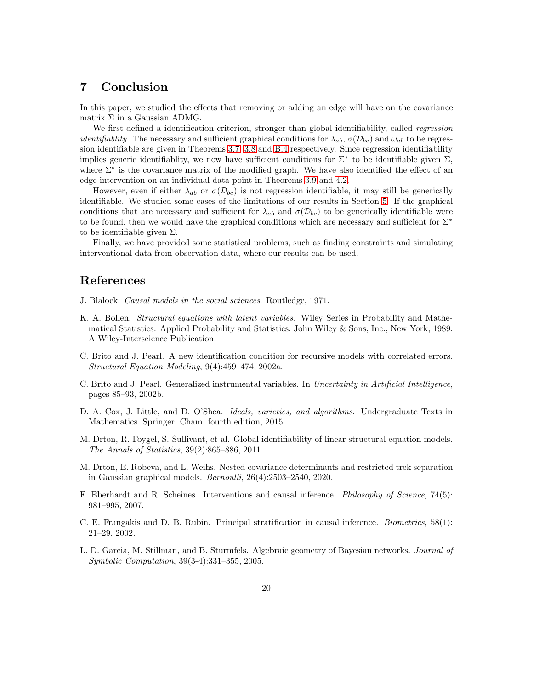# 7 Conclusion

In this paper, we studied the effects that removing or adding an edge will have on the covariance matrix  $\Sigma$  in a Gaussian ADMG.

We first defined a identification criterion, stronger than global identifiability, called *regression identifiablity.* The necessary and sufficient graphical conditions for  $\lambda_{ab}$ ,  $\sigma(\mathcal{D}_{bc})$  and  $\omega_{ab}$  to be regression identifiable are given in Theorems [3.7,](#page-9-2) [3.8](#page-10-0) and [B.4](#page-24-0) respectively. Since regression identifiability implies generic identifiablity, we now have sufficient conditions for  $\Sigma^*$  to be identifiable given  $\Sigma$ , where Σ<sup>∗</sup> is the covariance matrix of the modified graph. We have also identified the effect of an edge intervention on an individual data point in Theorems [3.9](#page-11-1) and [4.2.](#page-12-2)

However, even if either  $\lambda_{ab}$  or  $\sigma(\mathcal{D}_{bc})$  is not regression identifiable, it may still be generically identifiable. We studied some cases of the limitations of our results in Section [5.](#page-12-0) If the graphical conditions that are necessary and sufficient for  $\lambda_{ab}$  and  $\sigma(\mathcal{D}_{bc})$  to be generically identifiable were to be found, then we would have the graphical conditions which are necessary and sufficient for  $\Sigma^*$ to be identifiable given  $\Sigma$ .

Finally, we have provided some statistical problems, such as finding constraints and simulating interventional data from observation data, where our results can be used.

# References

- <span id="page-19-0"></span>J. Blalock. Causal models in the social sciences. Routledge, 1971.
- <span id="page-19-1"></span>K. A. Bollen. *Structural equations with latent variables*. Wiley Series in Probability and Mathematical Statistics: Applied Probability and Statistics. John Wiley & Sons, Inc., New York, 1989. A Wiley-Interscience Publication.
- <span id="page-19-6"></span>C. Brito and J. Pearl. A new identification condition for recursive models with correlated errors. Structural Equation Modeling, 9(4):459–474, 2002a.
- <span id="page-19-7"></span>C. Brito and J. Pearl. Generalized instrumental variables. In Uncertainty in Artificial Intelligence, pages 85–93, 2002b.
- <span id="page-19-3"></span>D. A. Cox, J. Little, and D. O'Shea. *Ideals, varieties, and algorithms*. Undergraduate Texts in Mathematics. Springer, Cham, fourth edition, 2015.
- <span id="page-19-2"></span>M. Drton, R. Foygel, S. Sullivant, et al. Global identifiability of linear structural equation models. The Annals of Statistics, 39(2):865–886, 2011.
- <span id="page-19-9"></span>M. Drton, E. Robeva, and L. Weihs. Nested covariance determinants and restricted trek separation in Gaussian graphical models. Bernoulli, 26(4):2503–2540, 2020.
- <span id="page-19-4"></span>F. Eberhardt and R. Scheines. Interventions and causal inference. Philosophy of Science, 74(5): 981–995, 2007.
- <span id="page-19-5"></span>C. E. Frangakis and D. B. Rubin. Principal stratification in causal inference. Biometrics, 58(1): 21–29, 2002.
- <span id="page-19-8"></span>L. D. Garcia, M. Stillman, and B. Sturmfels. Algebraic geometry of Bayesian networks. Journal of Symbolic Computation, 39(3-4):331–355, 2005.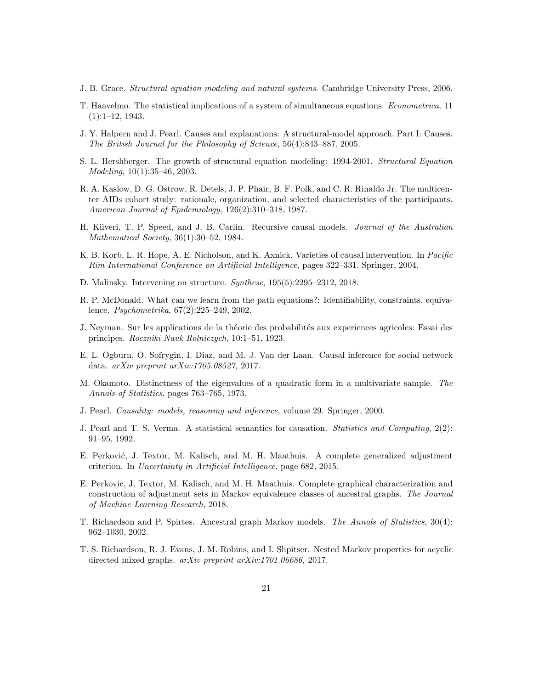- <span id="page-20-1"></span>J. B. Grace. Structural equation modeling and natural systems. Cambridge University Press, 2006.
- <span id="page-20-0"></span>T. Haavelmo. The statistical implications of a system of simultaneous equations. Econometrica, 11 (1):1–12, 1943.
- <span id="page-20-9"></span>J. Y. Halpern and J. Pearl. Causes and explanations: A structural-model approach. Part I: Causes. The British Journal for the Philosophy of Science, 56(4):843–887, 2005.
- <span id="page-20-2"></span>S. L. Hershberger. The growth of structural equation modeling: 1994-2001. Structural Equation Modeling, 10(1):35–46, 2003.
- <span id="page-20-17"></span>R. A. Kaslow, D. G. Ostrow, R. Detels, J. P. Phair, B. F. Polk, and C. R. Rinaldo Jr. The multicenter AIDs cohort study: rationale, organization, and selected characteristics of the participants. American Journal of Epidemiology, 126(2):310–318, 1987.
- <span id="page-20-16"></span>H. Kiiveri, T. P. Speed, and J. B. Carlin. Recursive causal models. Journal of the Australian Mathematical Society, 36(1):30–52, 1984.
- <span id="page-20-10"></span>K. B. Korb, L. R. Hope, A. E. Nicholson, and K. Axnick. Varieties of causal intervention. In Pacific Rim International Conference on Artificial Intelligence, pages 322–331. Springer, 2004.
- <span id="page-20-11"></span>D. Malinsky. Intervening on structure. Synthese, 195(5):2295–2312, 2018.
- <span id="page-20-5"></span>R. P. McDonald. What can we learn from the path equations?: Identifiability, constraints, equivalence. Psychometrika, 67(2):225–249, 2002.
- <span id="page-20-8"></span>J. Neyman. Sur les applications de la théorie des probabilités aux experiences agricoles: Essai des principes. Roczniki Nauk Rolniczych, 10:1–51, 1923.
- <span id="page-20-12"></span>E. L. Ogburn, O. Sofrygin, I. Diaz, and M. J. Van der Laan. Causal inference for social network data. arXiv preprint arXiv:1705.08527, 2017.
- <span id="page-20-7"></span>M. Okamoto. Distinctness of the eigenvalues of a quadratic form in a multivariate sample. The Annals of Statistics, pages 763–765, 1973.
- <span id="page-20-3"></span>J. Pearl. Causality: models, reasoning and inference, volume 29. Springer, 2000.
- <span id="page-20-4"></span>J. Pearl and T. S. Verma. A statistical semantics for causation. Statistics and Computing, 2(2): 91–95, 1992.
- <span id="page-20-15"></span>E. Perković, J. Textor, M. Kalisch, and M. H. Maathuis. A complete generalized adjustment criterion. In Uncertainty in Artificial Intelligence, page 682, 2015.
- <span id="page-20-13"></span>E. Perkovic, J. Textor, M. Kalisch, and M. H. Maathuis. Complete graphical characterization and construction of adjustment sets in Markov equivalence classes of ancestral graphs. The Journal of Machine Learning Research, 2018.
- <span id="page-20-6"></span>T. Richardson and P. Spirtes. Ancestral graph Markov models. The Annals of Statistics, 30(4): 962–1030, 2002.
- <span id="page-20-14"></span>T. S. Richardson, R. J. Evans, J. M. Robins, and I. Shpitser. Nested Markov properties for acyclic directed mixed graphs. arXiv preprint arXiv:1701.06686, 2017.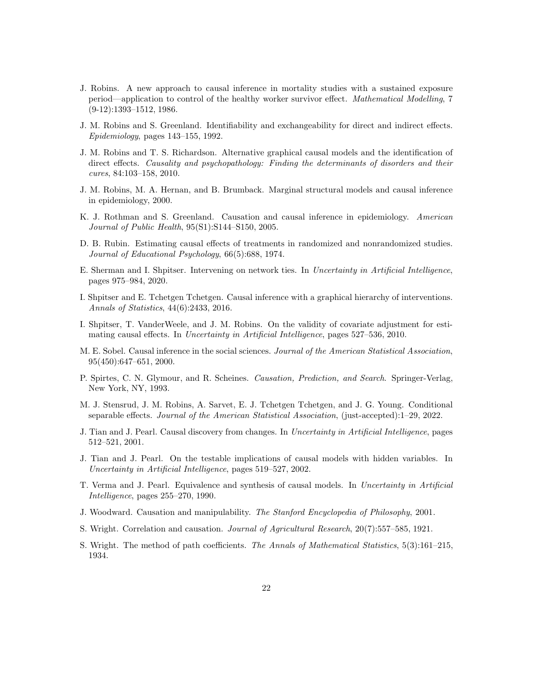- <span id="page-21-11"></span>J. Robins. A new approach to causal inference in mortality studies with a sustained exposure period—application to control of the healthy worker survivor effect. Mathematical Modelling, 7 (9-12):1393–1512, 1986.
- <span id="page-21-14"></span>J. M. Robins and S. Greenland. Identifiability and exchangeability for direct and indirect effects. Epidemiology, pages 143–155, 1992.
- <span id="page-21-8"></span>J. M. Robins and T. S. Richardson. Alternative graphical causal models and the identification of direct effects. Causality and psychopathology: Finding the determinants of disorders and their cures, 84:103–158, 2010.
- <span id="page-21-13"></span>J. M. Robins, M. A. Hernan, and B. Brumback. Marginal structural models and causal inference in epidemiology, 2000.
- <span id="page-21-1"></span>K. J. Rothman and S. Greenland. Causation and causal inference in epidemiology. American Journal of Public Health, 95(S1):S144–S150, 2005.
- <span id="page-21-4"></span>D. B. Rubin. Estimating causal effects of treatments in randomized and nonrandomized studies. Journal of Educational Psychology, 66(5):688, 1974.
- <span id="page-21-10"></span>E. Sherman and I. Shpitser. Intervening on network ties. In Uncertainty in Artificial Intelligence, pages 975–984, 2020.
- <span id="page-21-7"></span>I. Shpitser and E. Tchetgen Tchetgen. Causal inference with a graphical hierarchy of interventions. Annals of Statistics, 44(6):2433, 2016.
- <span id="page-21-12"></span>I. Shpitser, T. VanderWeele, and J. M. Robins. On the validity of covariate adjustment for estimating causal effects. In Uncertainty in Artificial Intelligence, pages 527–536, 2010.
- <span id="page-21-2"></span>M. E. Sobel. Causal inference in the social sciences. Journal of the American Statistical Association, 95(450):647–651, 2000.
- <span id="page-21-3"></span>P. Spirtes, C. N. Glymour, and R. Scheines. Causation, Prediction, and Search. Springer-Verlag, New York, NY, 1993.
- <span id="page-21-9"></span>M. J. Stensrud, J. M. Robins, A. Sarvet, E. J. Tchetgen Tchetgen, and J. G. Young. Conditional separable effects. Journal of the American Statistical Association, (just-accepted):1–29, 2022.
- <span id="page-21-5"></span>J. Tian and J. Pearl. Causal discovery from changes. In Uncertainty in Artificial Intelligence, pages 512–521, 2001.
- <span id="page-21-17"></span>J. Tian and J. Pearl. On the testable implications of causal models with hidden variables. In Uncertainty in Artificial Intelligence, pages 519–527, 2002.
- <span id="page-21-16"></span>T. Verma and J. Pearl. Equivalence and synthesis of causal models. In Uncertainty in Artificial Intelligence, pages 255–270, 1990.
- <span id="page-21-6"></span>J. Woodward. Causation and manipulability. The Stanford Encyclopedia of Philosophy, 2001.
- <span id="page-21-0"></span>S. Wright. Correlation and causation. Journal of Agricultural Research, 20(7):557–585, 1921.
- <span id="page-21-15"></span>S. Wright. The method of path coefficients. The Annals of Mathematical Statistics, 5(3):161–215, 1934.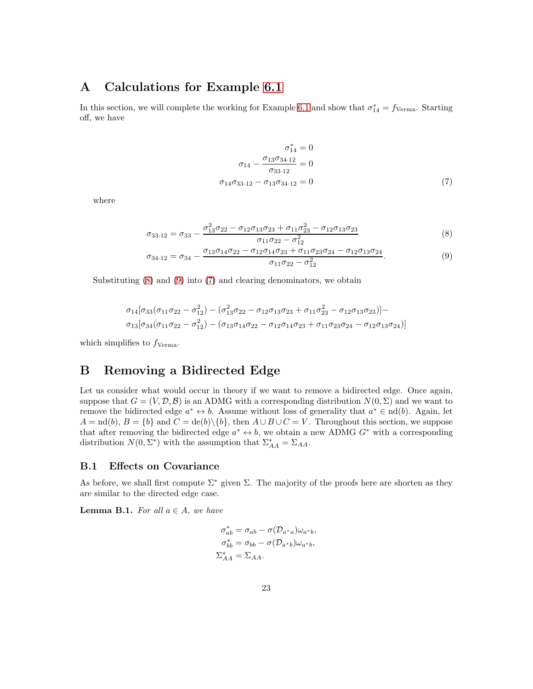# A Calculations for Example [6.1](#page-16-0)

In this section, we will complete the working for Example [6.1](#page-16-0) and show that  $\sigma_{14}^* = f_{\text{Verma}}$ . Starting off, we have

<span id="page-22-3"></span><span id="page-22-2"></span><span id="page-22-1"></span>
$$
\sigma_{14}^{*} = 0
$$
  
\n
$$
\sigma_{14} - \frac{\sigma_{13}\sigma_{34\cdot 12}}{\sigma_{33\cdot 12}} = 0
$$
  
\n
$$
\sigma_{14}\sigma_{33\cdot 12} - \sigma_{13}\sigma_{34\cdot 12} = 0
$$
\n(7)

where

$$
\sigma_{33\cdot 12} = \sigma_{33} - \frac{\sigma_{13}^2 \sigma_{22} - \sigma_{12} \sigma_{13} \sigma_{23} + \sigma_{11} \sigma_{23}^2 - \sigma_{12} \sigma_{13} \sigma_{23}}{\sigma_{11} \sigma_{22} - \sigma_{12}^2}
$$
\n(8)

$$
\sigma_{34\cdot 12} = \sigma_{34} - \frac{\sigma_{13}\sigma_{14}\sigma_{22} - \sigma_{12}\sigma_{14}\sigma_{23} + \sigma_{11}\sigma_{23}\sigma_{24} - \sigma_{12}\sigma_{13}\sigma_{24}}{\sigma_{11}\sigma_{22} - \sigma_{12}^2}.
$$
\n(9)

Substituting  $(8)$  and  $(9)$  into  $(7)$  and clearing denominators, we obtain

$$
\sigma_{14}[\sigma_{33}(\sigma_{11}\sigma_{22}-\sigma_{12}^2)-(\sigma_{13}^2\sigma_{22}-\sigma_{12}\sigma_{13}\sigma_{23}+\sigma_{11}\sigma_{23}^2-\sigma_{12}\sigma_{13}\sigma_{23})]-\\\sigma_{13}[\sigma_{34}(\sigma_{11}\sigma_{22}-\sigma_{12}^2)-(\sigma_{13}\sigma_{14}\sigma_{22}-\sigma_{12}\sigma_{14}\sigma_{23}+\sigma_{11}\sigma_{23}\sigma_{24}-\sigma_{12}\sigma_{13}\sigma_{24})]
$$

which simplifies to  $f_{\text{Verma}}$ .

# <span id="page-22-0"></span>B Removing a Bidirected Edge

Let us consider what would occur in theory if we want to remove a bidirected edge. Once again, suppose that  $G = (V, \mathcal{D}, \mathcal{B})$  is an ADMG with a corresponding distribution  $N(0, \Sigma)$  and we want to remove the bidirected edge  $a^* \leftrightarrow b$ . Assume without loss of generality that  $a^* \in \text{nd}(b)$ . Again, let  $A = \text{nd}(b), B = \{b\}$  and  $C = \text{de}(b)\setminus\{b\}$ , then  $A \cup B \cup C = V$ . Throughout this section, we suppose that after removing the bidirected edge  $a^* \leftrightarrow b$ , we obtain a new ADMG  $G^*$  with a corresponding distribution  $N(0, \Sigma^*)$  with the assumption that  $\Sigma^*_{AA} = \Sigma_{AA}$ .

#### <span id="page-22-5"></span>B.1 Effects on Covariance

As before, we shall first compute  $\Sigma^*$  given  $\Sigma$ . The majority of the proofs here are shorten as they are similar to the directed edge case.

<span id="page-22-4"></span>**Lemma B.1.** For all  $a \in A$ , we have

$$
\sigma_{ab}^* = \sigma_{ab} - \sigma(\mathcal{D}_{a^*a})\omega_{a^*b},
$$

$$
\sigma_{bb}^* = \sigma_{bb} - \sigma(\mathcal{D}_{a^*b})\omega_{a^*b},
$$

$$
\Sigma_{AA}^* = \Sigma_{AA}.
$$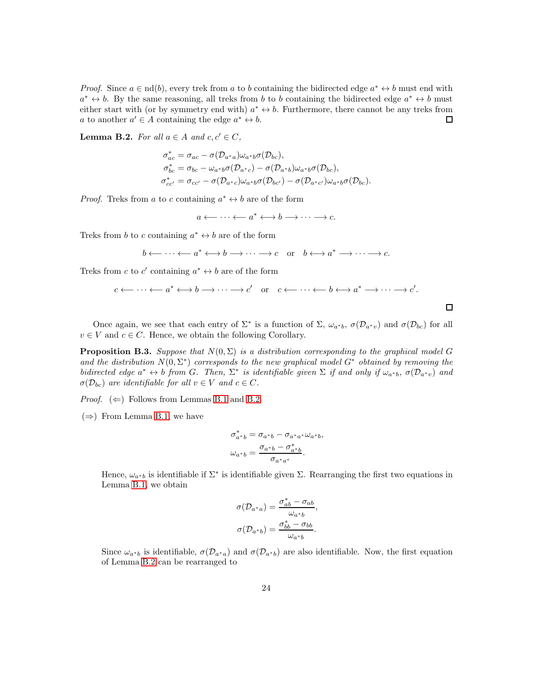*Proof.* Since  $a \in \text{nd}(b)$ , every trek from a to b containing the bidirected edge  $a^* \leftrightarrow b$  must end with  $a^* \leftrightarrow b$ . By the same reasoning, all treks from b to b containing the bidirected edge  $a^* \leftrightarrow b$  must either start with (or by symmetry end with)  $a^* \leftrightarrow b$ . Furthermore, there cannot be any treks from a to another  $a' \in A$  containing the edge  $a^* \leftrightarrow b$ .  $\Box$ 

<span id="page-23-0"></span>**Lemma B.2.** For all  $a \in A$  and  $c, c' \in C$ ,

$$
\sigma_{ac}^{*} = \sigma_{ac} - \sigma(\mathcal{D}_{a^{*}a})\omega_{a^{*}b}\sigma(\mathcal{D}_{bc}),
$$
  
\n
$$
\sigma_{bc}^{*} = \sigma_{bc} - \omega_{a^{*}b}\sigma(\mathcal{D}_{a^{*}c}) - \sigma(\mathcal{D}_{a^{*}b})\omega_{a^{*}b}\sigma(\mathcal{D}_{bc}),
$$
  
\n
$$
\sigma_{cc'}^{*} = \sigma_{cc'} - \sigma(\mathcal{D}_{a^{*}c})\omega_{a^{*}b}\sigma(\mathcal{D}_{bc'}) - \sigma(\mathcal{D}_{a^{*}c'})\omega_{a^{*}b}\sigma(\mathcal{D}_{bc}).
$$

*Proof.* Treks from a to c containing  $a^* \leftrightarrow b$  are of the form

 $a \longleftarrow \cdots \longleftarrow a^* \longleftrightarrow b \longrightarrow \cdots \longrightarrow c.$ 

Treks from b to c containing  $a^* \leftrightarrow b$  are of the form

$$
b \longleftarrow \cdots \longleftarrow a^* \longleftrightarrow b \longrightarrow \cdots \longrightarrow c \quad \text{or} \quad b \longleftrightarrow a^* \longrightarrow \cdots \longrightarrow c.
$$

Treks from c to c' containing  $a^* \leftrightarrow b$  are of the form

$$
c \leftarrow \cdots \leftarrow a^* \leftarrow b \rightarrow \cdots \rightarrow c'
$$
 or  $c \leftarrow \cdots \leftarrow b \leftarrow a^* \rightarrow \cdots \rightarrow c'.$ 

 $\Box$ 

Once again, we see that each entry of  $\Sigma^*$  is a function of  $\Sigma$ ,  $\omega_{a^*b}$ ,  $\sigma(\mathcal{D}_{a^*v})$  and  $\sigma(\mathcal{D}_{bc})$  for all  $v \in V$  and  $c \in C$ . Hence, we obtain the following Corollary.

**Proposition B.3.** Suppose that  $N(0, \Sigma)$  is a distribution corresponding to the graphical model G and the distribution  $N(0, \Sigma^*)$  corresponds to the new graphical model  $G^*$  obtained by removing the bidirected edge  $a^* \leftrightarrow b$  from G. Then,  $\Sigma^*$  is identifiable given  $\Sigma$  if and only if  $\omega_{a^*b}$ ,  $\sigma(\mathcal{D}_{a^*v})$  and  $\sigma(\mathcal{D}_{bc})$  are identifiable for all  $v \in V$  and  $c \in C$ .

*Proof.* ( $\Leftarrow$ ) Follows from Lemmas [B.1](#page-22-4) and [B.2.](#page-23-0)

 $(\Rightarrow)$  From Lemma [B.1,](#page-22-4) we have

$$
\sigma_{a^*b}^* = \sigma_{a^*b} - \sigma_{a^*a^*} \omega_{a^*b},
$$
  

$$
\omega_{a^*b} = \frac{\sigma_{a^*b} - \sigma_{a^*b}^*}{\sigma_{a^*a^*}}.
$$

Hence,  $\omega_{a^*b}$  is identifiable if  $\Sigma^*$  is identifiable given  $\Sigma$ . Rearranging the first two equations in Lemma [B.1,](#page-22-4) we obtain

$$
\sigma(\mathcal{D}_{a^*a}) = \frac{\sigma_{ab}^* - \sigma_{ab}}{\omega_{a^*b}},
$$

$$
\sigma(\mathcal{D}_{a^*b}) = \frac{\sigma_{bb}^* - \sigma_{bb}}{\omega_{a^*b}}.
$$

Since  $\omega_{a^*b}$  is identifiable,  $\sigma(\mathcal{D}_{a^*a})$  and  $\sigma(\mathcal{D}_{a^*b})$  are also identifiable. Now, the first equation of Lemma [B.2](#page-23-0) can be rearranged to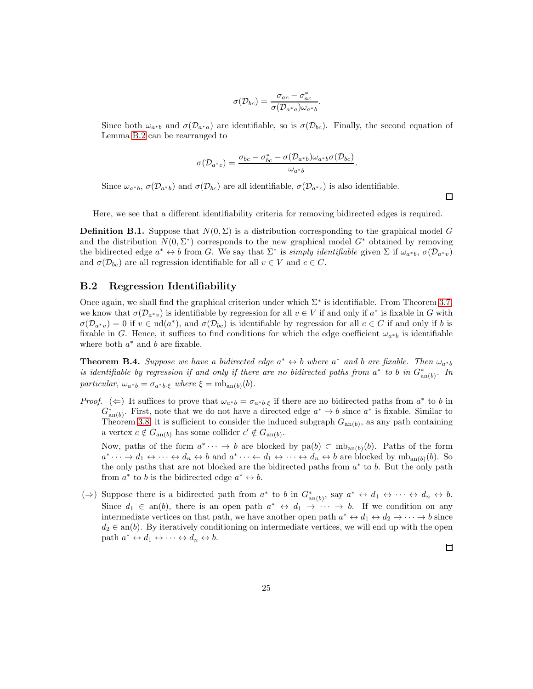$$
\sigma(\mathcal{D}_{bc}) = \frac{\sigma_{ac} - \sigma_{ac}^*}{\sigma(\mathcal{D}_{a^*a})\omega_{a^*b}}.
$$

Since both  $\omega_{a^*b}$  and  $\sigma(\mathcal{D}_{a^*a})$  are identifiable, so is  $\sigma(\mathcal{D}_{bc})$ . Finally, the second equation of Lemma [B.2](#page-23-0) can be rearranged to

$$
\sigma(\mathcal{D}_{a^*c})=\frac{\sigma_{bc}-\sigma_{bc}^*-\sigma(\mathcal{D}_{a^*b})\omega_{a^*b}\sigma(\mathcal{D}_{bc})}{\omega_{a^*b}}.
$$

Since  $\omega_{a^*b}$ ,  $\sigma(\mathcal{D}_{a^*b})$  and  $\sigma(\mathcal{D}_{bc})$  are all identifiable,  $\sigma(\mathcal{D}_{a^*c})$  is also identifiable.

Here, we see that a different identifiability criteria for removing bidirected edges is required.

**Definition B.1.** Suppose that  $N(0, \Sigma)$  is a distribution corresponding to the graphical model G and the distribution  $N(0, \Sigma^*)$  corresponds to the new graphical model  $G^*$  obtained by removing the bidirected edge  $a^* \leftrightarrow b$  from G. We say that  $\Sigma^*$  is *simply identifiable* given  $\Sigma$  if  $\omega_{a^*b}$ ,  $\sigma(\mathcal{D}_{a^*v})$ and  $\sigma(\mathcal{D}_{bc})$  are all regression identifiable for all  $v \in V$  and  $c \in C$ .

#### B.2 Regression Identifiability

Once again, we shall find the graphical criterion under which  $\Sigma^*$  is identifiable. From Theorem [3.7,](#page-9-2) we know that  $\sigma(\mathcal{D}_{a^*v})$  is identifiable by regression for all  $v \in V$  if and only if  $a^*$  is fixable in G with  $\sigma(\mathcal{D}_{a^*v})=0$  if  $v \in \text{nd}(a^*)$ , and  $\sigma(\mathcal{D}_{bc})$  is identifiable by regression for all  $c \in C$  if and only if b is fixable in G. Hence, it suffices to find conditions for which the edge coefficient  $\omega_{a^*b}$  is identifiable where both  $a^*$  and  $b$  are fixable.

<span id="page-24-0"></span>**Theorem B.4.** Suppose we have a bidirected edge  $a^* \leftrightarrow b$  where  $a^*$  and b are fixable. Then  $\omega_{a^*b}$ is identifiable by regression if and only if there are no bidirected paths from  $a^*$  to b in  $G^*_{an(b)}$ . In particular,  $\omega_{a^*b} = \sigma_{a^*b \cdot \xi}$  where  $\xi = \text{mb}_{\text{an}(b)}(b)$ .

*Proof.* ( $\Leftarrow$ ) It suffices to prove that  $\omega_{a^*b} = \sigma_{a^*b \cdot \xi}$  if there are no bidirected paths from  $a^*$  to b in  $G_{\text{an}(b)}^*$ . First, note that we do not have a directed edge  $a^* \to b$  since  $a^*$  is fixable. Similar to Theorem [3.8,](#page-10-0) it is sufficient to consider the induced subgraph  $G_{an(b)}$ , as any path containing a vertex  $c \notin G_{\text{an}(b)}$  has some collider  $c' \notin G_{\text{an}(b)}$ .

Now, paths of the form  $a^* \cdots \to b$  are blocked by pa $(b) \subset mb_{an(b)}(b)$ . Paths of the form  $a^* \cdots \to d_1 \leftrightarrow \cdots \leftrightarrow d_n \leftrightarrow b$  and  $a^* \cdots \leftarrow d_1 \leftrightarrow \cdots \leftrightarrow d_n \leftrightarrow b$  are blocked by  $mb_{an(b)}(b)$ . So the only paths that are not blocked are the bidirected paths from  $a^*$  to b. But the only path from  $a^*$  to b is the bidirected edge  $a^* \leftrightarrow b$ .

(⇒) Suppose there is a bidirected path from  $a^*$  to b in  $G^*_{\text{an}(b)}$ , say  $a^* \leftrightarrow d_1 \leftrightarrow \cdots \leftrightarrow d_n \leftrightarrow b$ . Since  $d_1 \in \text{an}(b)$ , there is an open path  $a^* \leftrightarrow d_1 \rightarrow \cdots \rightarrow b$ . If we condition on any intermediate vertices on that path, we have another open path  $a^* \leftrightarrow d_1 \leftrightarrow d_2 \to \cdots \to b$  since  $d_2 \in \text{an}(b)$ . By iteratively conditioning on intermediate vertices, we will end up with the open path  $a^* \leftrightarrow d_1 \leftrightarrow \cdots \leftrightarrow d_n \leftrightarrow b$ .

 $\Box$ 

 $\Box$